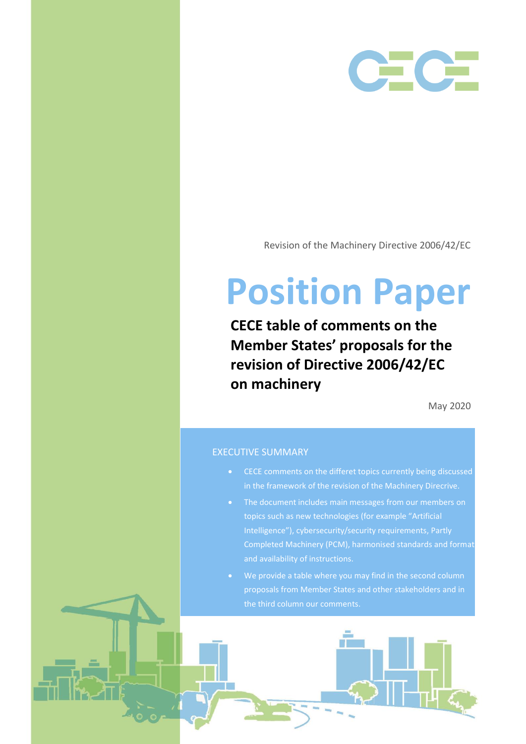

Revision of the Machinery Directive 2006/42/EC

## **Position Paper**

**CECE table of comments on the Member States' proposals for the revision of Directive 2006/42/EC on machinery**

May 2020

## EXECUTIVE SUMMARY

- CECE comments on the differet topics currently being discussed
- The document includes main messages from our members on topics such as new technologies (for example "Artificial Intelligence"), cybersecurity/security requirements, Partly
-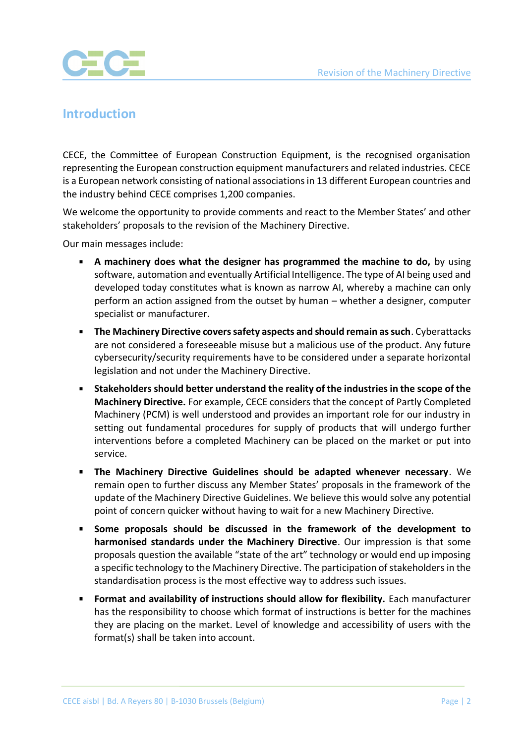

## **Introduction**

CECE, the Committee of European Construction Equipment, is the recognised organisation representing the European construction equipment manufacturers and related industries. CECE is a European network consisting of national associations in 13 different European countries and the industry behind CECE comprises 1,200 companies.

We welcome the opportunity to provide comments and react to the Member States' and other stakeholders' proposals to the revision of the Machinery Directive.

Our main messages include:

- **A machinery does what the designer has programmed the machine to do,** by using software, automation and eventually Artificial Intelligence. The type of AI being used and developed today constitutes what is known as narrow AI, whereby a machine can only perform an action assigned from the outset by human – whether a designer, computer specialist or manufacturer.
- **The Machinery Directive covers safety aspects and should remain as such**. Cyberattacks are not considered a foreseeable misuse but a malicious use of the product. Any future cybersecurity/security requirements have to be considered under a separate horizontal legislation and not under the Machinery Directive.
- **Stakeholders should better understand the reality of the industries in the scope of the Machinery Directive.** For example, CECE considers that the concept of Partly Completed Machinery (PCM) is well understood and provides an important role for our industry in setting out fundamental procedures for supply of products that will undergo further interventions before a completed Machinery can be placed on the market or put into service.
- **The Machinery Directive Guidelines should be adapted whenever necessary**. We remain open to further discuss any Member States' proposals in the framework of the update of the Machinery Directive Guidelines. We believe this would solve any potential point of concern quicker without having to wait for a new Machinery Directive.
- **Some proposals should be discussed in the framework of the development to harmonised standards under the Machinery Directive**. Our impression is that some proposals question the available "state of the art" technology or would end up imposing a specific technology to the Machinery Directive. The participation of stakeholders in the standardisation process is the most effective way to address such issues.
- **Format and availability of instructions should allow for flexibility.** Each manufacturer has the responsibility to choose which format of instructions is better for the machines they are placing on the market. Level of knowledge and accessibility of users with the format(s) shall be taken into account.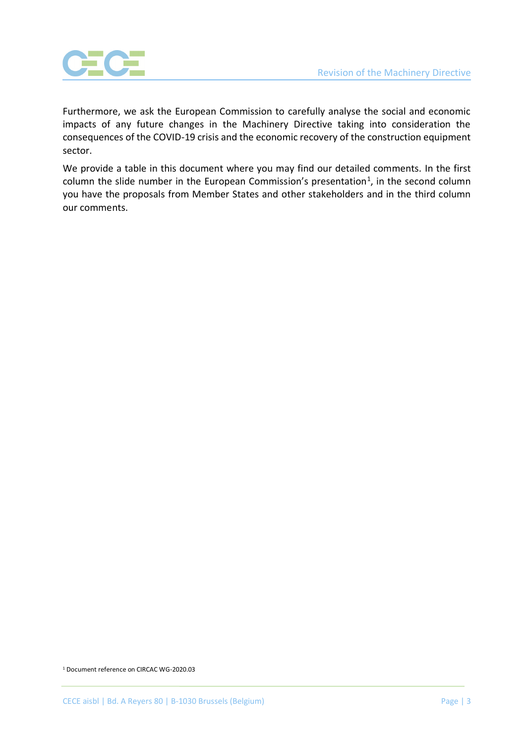

Furthermore, we ask the European Commission to carefully analyse the social and economic impacts of any future changes in the Machinery Directive taking into consideration the consequences of the COVID-19 crisis and the economic recovery of the construction equipment sector.

We provide a table in this document where you may find our detailed comments. In the first column the slide number in the European Commission's presentation<sup>1</sup>, in the second column you have the proposals from Member States and other stakeholders and in the third column our comments.

<sup>1</sup> Document reference on CIRCAC WG-2020.03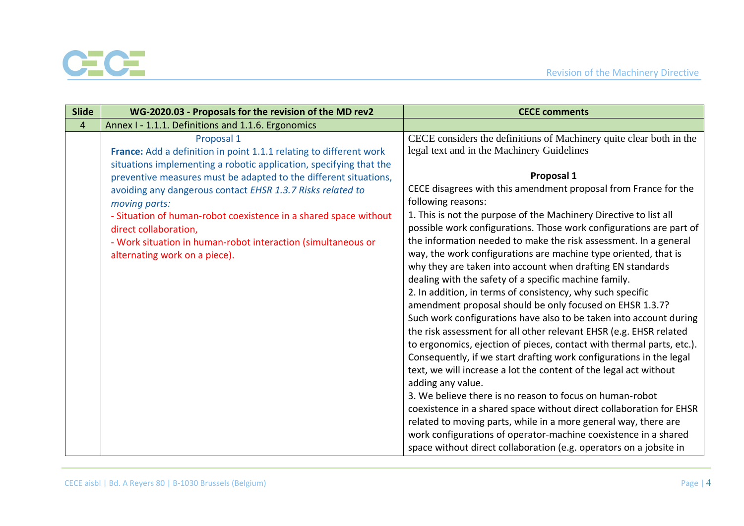

| Slide          | WG-2020.03 - Proposals for the revision of the MD rev2                                                                                                                                                                                                                                                                                                                                                              | <b>CECE comments</b>                                                                                                                                                                                                                                                                                                                                                                                                                                                                                                                                                                                                                                                                                                                                                                                                                                                                                                                                                                                                                                                                                                                                                                                                                                                                                                                                                         |
|----------------|---------------------------------------------------------------------------------------------------------------------------------------------------------------------------------------------------------------------------------------------------------------------------------------------------------------------------------------------------------------------------------------------------------------------|------------------------------------------------------------------------------------------------------------------------------------------------------------------------------------------------------------------------------------------------------------------------------------------------------------------------------------------------------------------------------------------------------------------------------------------------------------------------------------------------------------------------------------------------------------------------------------------------------------------------------------------------------------------------------------------------------------------------------------------------------------------------------------------------------------------------------------------------------------------------------------------------------------------------------------------------------------------------------------------------------------------------------------------------------------------------------------------------------------------------------------------------------------------------------------------------------------------------------------------------------------------------------------------------------------------------------------------------------------------------------|
| $\overline{4}$ | Annex I - 1.1.1. Definitions and 1.1.6. Ergonomics                                                                                                                                                                                                                                                                                                                                                                  |                                                                                                                                                                                                                                                                                                                                                                                                                                                                                                                                                                                                                                                                                                                                                                                                                                                                                                                                                                                                                                                                                                                                                                                                                                                                                                                                                                              |
|                | Proposal 1<br>France: Add a definition in point 1.1.1 relating to different work                                                                                                                                                                                                                                                                                                                                    | CECE considers the definitions of Machinery quite clear both in the<br>legal text and in the Machinery Guidelines                                                                                                                                                                                                                                                                                                                                                                                                                                                                                                                                                                                                                                                                                                                                                                                                                                                                                                                                                                                                                                                                                                                                                                                                                                                            |
|                | situations implementing a robotic application, specifying that the<br>preventive measures must be adapted to the different situations,<br>avoiding any dangerous contact EHSR 1.3.7 Risks related to<br>moving parts:<br>- Situation of human-robot coexistence in a shared space without<br>direct collaboration,<br>- Work situation in human-robot interaction (simultaneous or<br>alternating work on a piece). | Proposal 1<br>CECE disagrees with this amendment proposal from France for the<br>following reasons:<br>1. This is not the purpose of the Machinery Directive to list all<br>possible work configurations. Those work configurations are part of<br>the information needed to make the risk assessment. In a general<br>way, the work configurations are machine type oriented, that is<br>why they are taken into account when drafting EN standards<br>dealing with the safety of a specific machine family.<br>2. In addition, in terms of consistency, why such specific<br>amendment proposal should be only focused on EHSR 1.3.7?<br>Such work configurations have also to be taken into account during<br>the risk assessment for all other relevant EHSR (e.g. EHSR related<br>to ergonomics, ejection of pieces, contact with thermal parts, etc.).<br>Consequently, if we start drafting work configurations in the legal<br>text, we will increase a lot the content of the legal act without<br>adding any value.<br>3. We believe there is no reason to focus on human-robot<br>coexistence in a shared space without direct collaboration for EHSR<br>related to moving parts, while in a more general way, there are<br>work configurations of operator-machine coexistence in a shared<br>space without direct collaboration (e.g. operators on a jobsite in |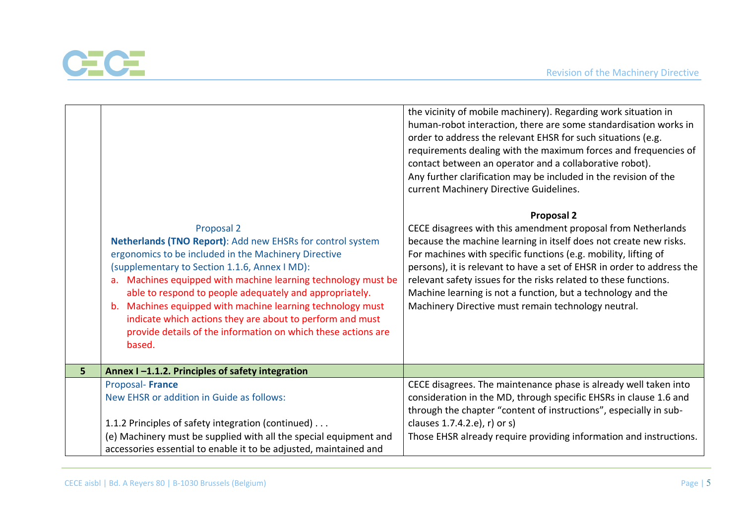

|                |                                                                                                                                                                                                                                                                                                                                                                                                                                                                                                                                    | the vicinity of mobile machinery). Regarding work situation in<br>human-robot interaction, there are some standardisation works in<br>order to address the relevant EHSR for such situations (e.g.<br>requirements dealing with the maximum forces and frequencies of<br>contact between an operator and a collaborative robot).<br>Any further clarification may be included in the revision of the<br>current Machinery Directive Guidelines.                                                |
|----------------|------------------------------------------------------------------------------------------------------------------------------------------------------------------------------------------------------------------------------------------------------------------------------------------------------------------------------------------------------------------------------------------------------------------------------------------------------------------------------------------------------------------------------------|------------------------------------------------------------------------------------------------------------------------------------------------------------------------------------------------------------------------------------------------------------------------------------------------------------------------------------------------------------------------------------------------------------------------------------------------------------------------------------------------|
|                | Proposal 2<br>Netherlands (TNO Report): Add new EHSRs for control system<br>ergonomics to be included in the Machinery Directive<br>(supplementary to Section 1.1.6, Annex I MD):<br>Machines equipped with machine learning technology must be<br>$a_{\cdot}$<br>able to respond to people adequately and appropriately.<br>Machines equipped with machine learning technology must<br>b.<br>indicate which actions they are about to perform and must<br>provide details of the information on which these actions are<br>based. | <b>Proposal 2</b><br>CECE disagrees with this amendment proposal from Netherlands<br>because the machine learning in itself does not create new risks.<br>For machines with specific functions (e.g. mobility, lifting of<br>persons), it is relevant to have a set of EHSR in order to address the<br>relevant safety issues for the risks related to these functions.<br>Machine learning is not a function, but a technology and the<br>Machinery Directive must remain technology neutral. |
| 5 <sup>1</sup> | Annex I-1.1.2. Principles of safety integration                                                                                                                                                                                                                                                                                                                                                                                                                                                                                    |                                                                                                                                                                                                                                                                                                                                                                                                                                                                                                |
|                | Proposal-France<br>New EHSR or addition in Guide as follows:<br>1.1.2 Principles of safety integration (continued)<br>(e) Machinery must be supplied with all the special equipment and                                                                                                                                                                                                                                                                                                                                            | CECE disagrees. The maintenance phase is already well taken into<br>consideration in the MD, through specific EHSRs in clause 1.6 and<br>through the chapter "content of instructions", especially in sub-<br>clauses 1.7.4.2.e), r) or s)<br>Those EHSR already require providing information and instructions.                                                                                                                                                                               |
|                | accessories essential to enable it to be adjusted, maintained and                                                                                                                                                                                                                                                                                                                                                                                                                                                                  |                                                                                                                                                                                                                                                                                                                                                                                                                                                                                                |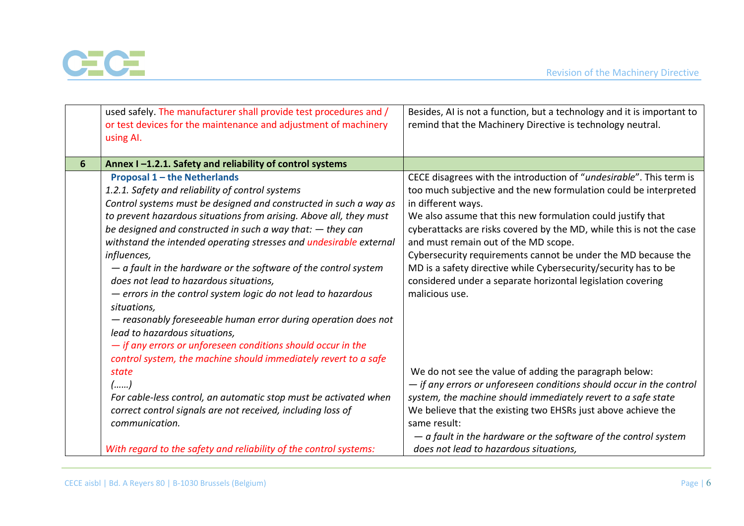

|   | used safely. The manufacturer shall provide test procedures and /<br>or test devices for the maintenance and adjustment of machinery<br>using Al. | Besides, AI is not a function, but a technology and it is important to<br>remind that the Machinery Directive is technology neutral. |
|---|---------------------------------------------------------------------------------------------------------------------------------------------------|--------------------------------------------------------------------------------------------------------------------------------------|
| 6 | Annex I-1.2.1. Safety and reliability of control systems                                                                                          |                                                                                                                                      |
|   | <b>Proposal 1 - the Netherlands</b>                                                                                                               | CECE disagrees with the introduction of "undesirable". This term is                                                                  |
|   | 1.2.1. Safety and reliability of control systems                                                                                                  | too much subjective and the new formulation could be interpreted                                                                     |
|   | Control systems must be designed and constructed in such a way as                                                                                 | in different ways.                                                                                                                   |
|   | to prevent hazardous situations from arising. Above all, they must                                                                                | We also assume that this new formulation could justify that                                                                          |
|   | be designed and constructed in such a way that: $-$ they can                                                                                      | cyberattacks are risks covered by the MD, while this is not the case                                                                 |
|   | withstand the intended operating stresses and undesirable external                                                                                | and must remain out of the MD scope.                                                                                                 |
|   | influences,                                                                                                                                       | Cybersecurity requirements cannot be under the MD because the                                                                        |
|   | $-$ a fault in the hardware or the software of the control system                                                                                 | MD is a safety directive while Cybersecurity/security has to be                                                                      |
|   | does not lead to hazardous situations,                                                                                                            | considered under a separate horizontal legislation covering                                                                          |
|   | - errors in the control system logic do not lead to hazardous<br>situations,                                                                      | malicious use.                                                                                                                       |
|   | - reasonably foreseeable human error during operation does not                                                                                    |                                                                                                                                      |
|   | lead to hazardous situations,                                                                                                                     |                                                                                                                                      |
|   | - if any errors or unforeseen conditions should occur in the                                                                                      |                                                                                                                                      |
|   | control system, the machine should immediately revert to a safe                                                                                   |                                                                                                                                      |
|   | state                                                                                                                                             | We do not see the value of adding the paragraph below:                                                                               |
|   | ()                                                                                                                                                | $-$ if any errors or unforeseen conditions should occur in the control                                                               |
|   | For cable-less control, an automatic stop must be activated when                                                                                  | system, the machine should immediately revert to a safe state                                                                        |
|   | correct control signals are not received, including loss of                                                                                       | We believe that the existing two EHSRs just above achieve the                                                                        |
|   | communication.                                                                                                                                    | same result:                                                                                                                         |
|   |                                                                                                                                                   | $-$ a fault in the hardware or the software of the control system                                                                    |
|   | With regard to the safety and reliability of the control systems:                                                                                 | does not lead to hazardous situations,                                                                                               |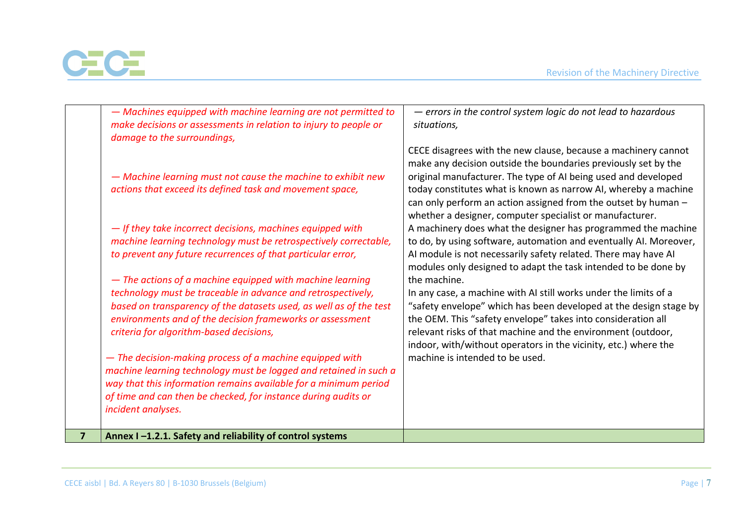

| $\overline{7}$ | Annex I-1.2.1. Safety and reliability of control systems                                                                                                                                                                                                                                                                                                                                                                                                                                                                                                                                                                                                                                                                                                                                                                                                                                                                                                         |                                                                                                                                                                                                                                                                                                                                                                                                                                                                                                                                                                                                                                                                                                                                                                                                                                                                                                                                                                                                                                                                              |
|----------------|------------------------------------------------------------------------------------------------------------------------------------------------------------------------------------------------------------------------------------------------------------------------------------------------------------------------------------------------------------------------------------------------------------------------------------------------------------------------------------------------------------------------------------------------------------------------------------------------------------------------------------------------------------------------------------------------------------------------------------------------------------------------------------------------------------------------------------------------------------------------------------------------------------------------------------------------------------------|------------------------------------------------------------------------------------------------------------------------------------------------------------------------------------------------------------------------------------------------------------------------------------------------------------------------------------------------------------------------------------------------------------------------------------------------------------------------------------------------------------------------------------------------------------------------------------------------------------------------------------------------------------------------------------------------------------------------------------------------------------------------------------------------------------------------------------------------------------------------------------------------------------------------------------------------------------------------------------------------------------------------------------------------------------------------------|
|                | damage to the surroundings,<br>- Machine learning must not cause the machine to exhibit new<br>actions that exceed its defined task and movement space,<br>- If they take incorrect decisions, machines equipped with<br>machine learning technology must be retrospectively correctable,<br>to prevent any future recurrences of that particular error,<br>- The actions of a machine equipped with machine learning<br>technology must be traceable in advance and retrospectively,<br>based on transparency of the datasets used, as well as of the test<br>environments and of the decision frameworks or assessment<br>criteria for algorithm-based decisions,<br>- The decision-making process of a machine equipped with<br>machine learning technology must be logged and retained in such a<br>way that this information remains available for a minimum period<br>of time and can then be checked, for instance during audits or<br>incident analyses. | CECE disagrees with the new clause, because a machinery cannot<br>make any decision outside the boundaries previously set by the<br>original manufacturer. The type of AI being used and developed<br>today constitutes what is known as narrow AI, whereby a machine<br>can only perform an action assigned from the outset by human -<br>whether a designer, computer specialist or manufacturer.<br>A machinery does what the designer has programmed the machine<br>to do, by using software, automation and eventually AI. Moreover,<br>AI module is not necessarily safety related. There may have AI<br>modules only designed to adapt the task intended to be done by<br>the machine.<br>In any case, a machine with AI still works under the limits of a<br>"safety envelope" which has been developed at the design stage by<br>the OEM. This "safety envelope" takes into consideration all<br>relevant risks of that machine and the environment (outdoor,<br>indoor, with/without operators in the vicinity, etc.) where the<br>machine is intended to be used. |
|                | - Machines equipped with machine learning are not permitted to<br>make decisions or assessments in relation to injury to people or                                                                                                                                                                                                                                                                                                                                                                                                                                                                                                                                                                                                                                                                                                                                                                                                                               | - errors in the control system logic do not lead to hazardous<br>situations,                                                                                                                                                                                                                                                                                                                                                                                                                                                                                                                                                                                                                                                                                                                                                                                                                                                                                                                                                                                                 |
|                |                                                                                                                                                                                                                                                                                                                                                                                                                                                                                                                                                                                                                                                                                                                                                                                                                                                                                                                                                                  |                                                                                                                                                                                                                                                                                                                                                                                                                                                                                                                                                                                                                                                                                                                                                                                                                                                                                                                                                                                                                                                                              |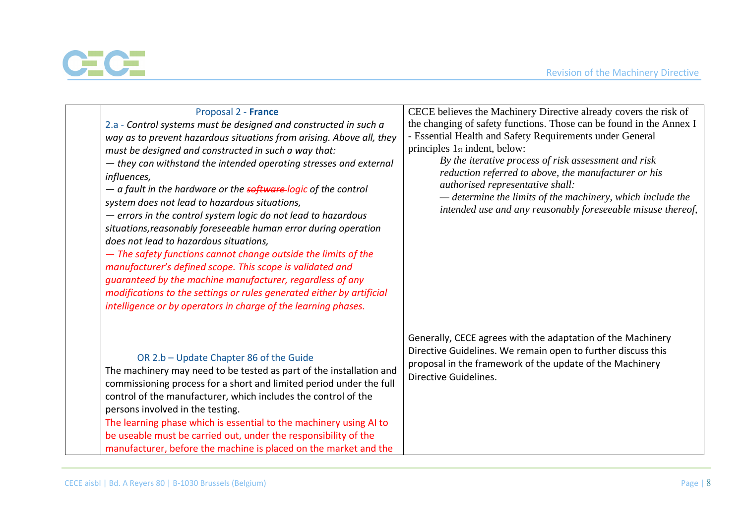

| Proposal 2 - France<br>2.a - Control systems must be designed and constructed in such a<br>way as to prevent hazardous situations from arising. Above all, they<br>must be designed and constructed in such a way that:<br>- they can withstand the intended operating stresses and external<br>influences,<br>- a fault in the hardware or the <b>software-logic</b> of the control<br>system does not lead to hazardous situations,<br>- errors in the control system logic do not lead to hazardous<br>situations, reasonably foreseeable human error during operation<br>does not lead to hazardous situations,<br>- The safety functions cannot change outside the limits of the<br>manufacturer's defined scope. This scope is validated and<br>guaranteed by the machine manufacturer, regardless of any<br>modifications to the settings or rules generated either by artificial<br>intelligence or by operators in charge of the learning phases. | CECE believes the Machinery Directive already covers the risk of<br>the changing of safety functions. Those can be found in the Annex I<br>- Essential Health and Safety Requirements under General<br>principles 1 <sub>st</sub> indent, below:<br>By the iterative process of risk assessment and risk<br>reduction referred to above, the manufacturer or his<br>authorised representative shall:<br>— determine the limits of the machinery, which include the<br>intended use and any reasonably foreseeable misuse thereof, |
|------------------------------------------------------------------------------------------------------------------------------------------------------------------------------------------------------------------------------------------------------------------------------------------------------------------------------------------------------------------------------------------------------------------------------------------------------------------------------------------------------------------------------------------------------------------------------------------------------------------------------------------------------------------------------------------------------------------------------------------------------------------------------------------------------------------------------------------------------------------------------------------------------------------------------------------------------------|-----------------------------------------------------------------------------------------------------------------------------------------------------------------------------------------------------------------------------------------------------------------------------------------------------------------------------------------------------------------------------------------------------------------------------------------------------------------------------------------------------------------------------------|
| OR 2.b - Update Chapter 86 of the Guide<br>The machinery may need to be tested as part of the installation and<br>commissioning process for a short and limited period under the full<br>control of the manufacturer, which includes the control of the<br>persons involved in the testing.<br>The learning phase which is essential to the machinery using AI to<br>be useable must be carried out, under the responsibility of the<br>manufacturer, before the machine is placed on the market and the                                                                                                                                                                                                                                                                                                                                                                                                                                                   | Generally, CECE agrees with the adaptation of the Machinery<br>Directive Guidelines. We remain open to further discuss this<br>proposal in the framework of the update of the Machinery<br>Directive Guidelines.                                                                                                                                                                                                                                                                                                                  |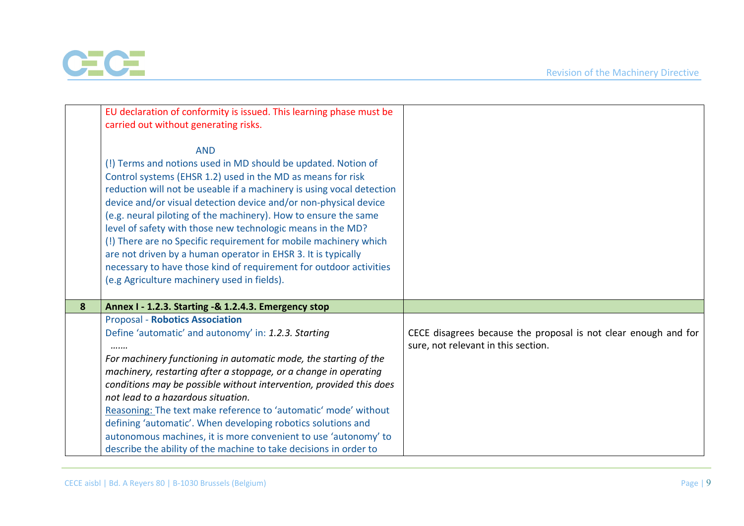

|   | EU declaration of conformity is issued. This learning phase must be                                                                                                                                                                                                                                                                                                                                                                                                                                                                                                                                                                                                                 |                                                                                                        |
|---|-------------------------------------------------------------------------------------------------------------------------------------------------------------------------------------------------------------------------------------------------------------------------------------------------------------------------------------------------------------------------------------------------------------------------------------------------------------------------------------------------------------------------------------------------------------------------------------------------------------------------------------------------------------------------------------|--------------------------------------------------------------------------------------------------------|
|   | carried out without generating risks.                                                                                                                                                                                                                                                                                                                                                                                                                                                                                                                                                                                                                                               |                                                                                                        |
|   | <b>AND</b><br>(!) Terms and notions used in MD should be updated. Notion of<br>Control systems (EHSR 1.2) used in the MD as means for risk<br>reduction will not be useable if a machinery is using vocal detection<br>device and/or visual detection device and/or non-physical device<br>(e.g. neural piloting of the machinery). How to ensure the same<br>level of safety with those new technologic means in the MD?<br>(!) There are no Specific requirement for mobile machinery which<br>are not driven by a human operator in EHSR 3. It is typically<br>necessary to have those kind of requirement for outdoor activities<br>(e.g Agriculture machinery used in fields). |                                                                                                        |
| 8 | Annex I - 1.2.3. Starting -& 1.2.4.3. Emergency stop                                                                                                                                                                                                                                                                                                                                                                                                                                                                                                                                                                                                                                |                                                                                                        |
|   | <b>Proposal - Robotics Association</b>                                                                                                                                                                                                                                                                                                                                                                                                                                                                                                                                                                                                                                              |                                                                                                        |
|   | Define 'automatic' and autonomy' in: 1.2.3. Starting<br>                                                                                                                                                                                                                                                                                                                                                                                                                                                                                                                                                                                                                            | CECE disagrees because the proposal is not clear enough and for<br>sure, not relevant in this section. |
|   | For machinery functioning in automatic mode, the starting of the<br>machinery, restarting after a stoppage, or a change in operating                                                                                                                                                                                                                                                                                                                                                                                                                                                                                                                                                |                                                                                                        |
|   | conditions may be possible without intervention, provided this does                                                                                                                                                                                                                                                                                                                                                                                                                                                                                                                                                                                                                 |                                                                                                        |
|   | not lead to a hazardous situation.                                                                                                                                                                                                                                                                                                                                                                                                                                                                                                                                                                                                                                                  |                                                                                                        |
|   | Reasoning: The text make reference to 'automatic' mode' without                                                                                                                                                                                                                                                                                                                                                                                                                                                                                                                                                                                                                     |                                                                                                        |
|   | defining 'automatic'. When developing robotics solutions and                                                                                                                                                                                                                                                                                                                                                                                                                                                                                                                                                                                                                        |                                                                                                        |
|   | autonomous machines, it is more convenient to use 'autonomy' to                                                                                                                                                                                                                                                                                                                                                                                                                                                                                                                                                                                                                     |                                                                                                        |
|   | describe the ability of the machine to take decisions in order to                                                                                                                                                                                                                                                                                                                                                                                                                                                                                                                                                                                                                   |                                                                                                        |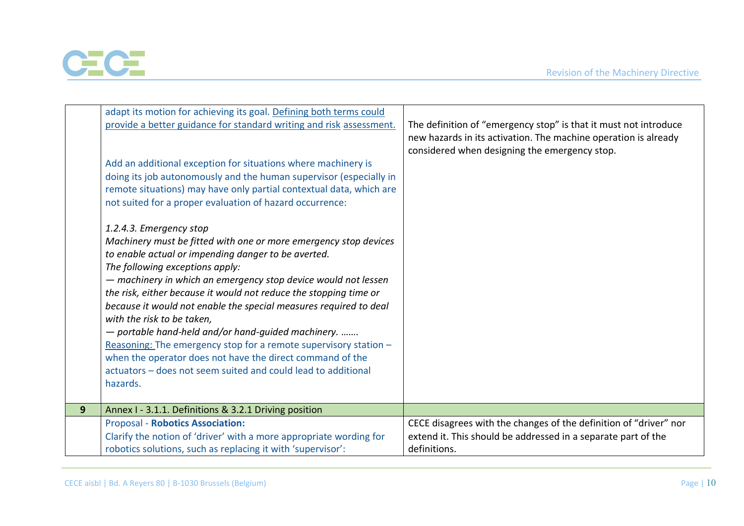

|   | adapt its motion for achieving its goal. Defining both terms could  |                                                                   |
|---|---------------------------------------------------------------------|-------------------------------------------------------------------|
|   | provide a better guidance for standard writing and risk assessment. | The definition of "emergency stop" is that it must not introduce  |
|   |                                                                     | new hazards in its activation. The machine operation is already   |
|   |                                                                     | considered when designing the emergency stop.                     |
|   | Add an additional exception for situations where machinery is       |                                                                   |
|   | doing its job autonomously and the human supervisor (especially in  |                                                                   |
|   | remote situations) may have only partial contextual data, which are |                                                                   |
|   | not suited for a proper evaluation of hazard occurrence:            |                                                                   |
|   |                                                                     |                                                                   |
|   | 1.2.4.3. Emergency stop                                             |                                                                   |
|   | Machinery must be fitted with one or more emergency stop devices    |                                                                   |
|   | to enable actual or impending danger to be averted.                 |                                                                   |
|   | The following exceptions apply:                                     |                                                                   |
|   | - machinery in which an emergency stop device would not lessen      |                                                                   |
|   | the risk, either because it would not reduce the stopping time or   |                                                                   |
|   | because it would not enable the special measures required to deal   |                                                                   |
|   | with the risk to be taken,                                          |                                                                   |
|   | - portable hand-held and/or hand-guided machinery.                  |                                                                   |
|   | Reasoning: The emergency stop for a remote supervisory station -    |                                                                   |
|   | when the operator does not have the direct command of the           |                                                                   |
|   | actuators – does not seem suited and could lead to additional       |                                                                   |
|   | hazards.                                                            |                                                                   |
| 9 | Annex I - 3.1.1. Definitions & 3.2.1 Driving position               |                                                                   |
|   | <b>Proposal - Robotics Association:</b>                             | CECE disagrees with the changes of the definition of "driver" nor |
|   | Clarify the notion of 'driver' with a more appropriate wording for  | extend it. This should be addressed in a separate part of the     |
|   | robotics solutions, such as replacing it with 'supervisor':         | definitions.                                                      |
|   |                                                                     |                                                                   |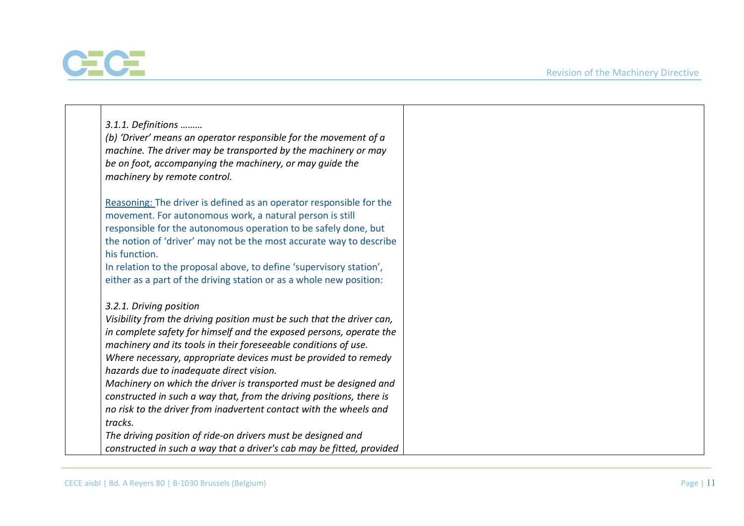

| 3.1.1. Definitions                                                     |  |
|------------------------------------------------------------------------|--|
| (b) 'Driver' means an operator responsible for the movement of a       |  |
| machine. The driver may be transported by the machinery or may         |  |
|                                                                        |  |
| be on foot, accompanying the machinery, or may guide the               |  |
| machinery by remote control.                                           |  |
| Reasoning: The driver is defined as an operator responsible for the    |  |
|                                                                        |  |
| movement. For autonomous work, a natural person is still               |  |
| responsible for the autonomous operation to be safely done, but        |  |
| the notion of 'driver' may not be the most accurate way to describe    |  |
| his function.                                                          |  |
| In relation to the proposal above, to define 'supervisory station',    |  |
| either as a part of the driving station or as a whole new position:    |  |
| 3.2.1. Driving position                                                |  |
| Visibility from the driving position must be such that the driver can, |  |
| in complete safety for himself and the exposed persons, operate the    |  |
| machinery and its tools in their foreseeable conditions of use.        |  |
| Where necessary, appropriate devices must be provided to remedy        |  |
| hazards due to inadequate direct vision.                               |  |
| Machinery on which the driver is transported must be designed and      |  |
| constructed in such a way that, from the driving positions, there is   |  |
| no risk to the driver from inadvertent contact with the wheels and     |  |
| tracks.                                                                |  |
| The driving position of ride-on drivers must be designed and           |  |
| constructed in such a way that a driver's cab may be fitted, provided  |  |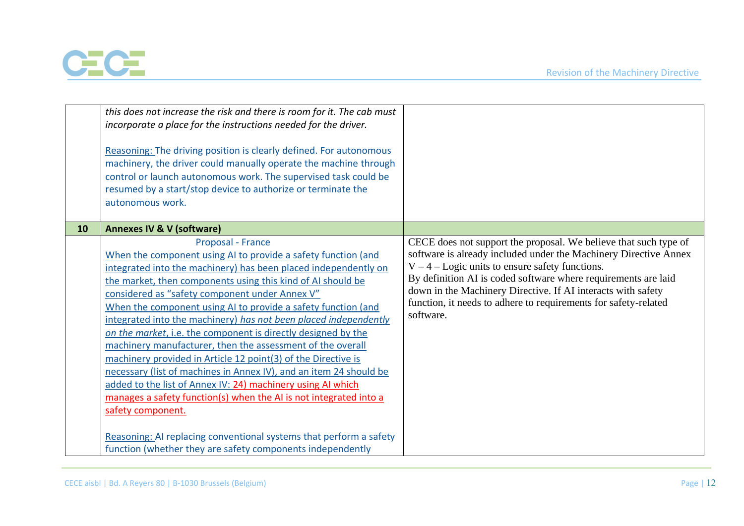

|    | this does not increase the risk and there is room for it. The cab must<br>incorporate a place for the instructions needed for the driver.<br>Reasoning: The driving position is clearly defined. For autonomous<br>machinery, the driver could manually operate the machine through<br>control or launch autonomous work. The supervised task could be<br>resumed by a start/stop device to authorize or terminate the<br>autonomous work.                                                                                                                                                                                                                                                                                                                                                                                                                                         |                                                                                                                                                                                                                                                                                                                                                                                                             |
|----|------------------------------------------------------------------------------------------------------------------------------------------------------------------------------------------------------------------------------------------------------------------------------------------------------------------------------------------------------------------------------------------------------------------------------------------------------------------------------------------------------------------------------------------------------------------------------------------------------------------------------------------------------------------------------------------------------------------------------------------------------------------------------------------------------------------------------------------------------------------------------------|-------------------------------------------------------------------------------------------------------------------------------------------------------------------------------------------------------------------------------------------------------------------------------------------------------------------------------------------------------------------------------------------------------------|
| 10 | <b>Annexes IV &amp; V (software)</b><br>Proposal - France<br>When the component using AI to provide a safety function (and<br>integrated into the machinery) has been placed independently on<br>the market, then components using this kind of AI should be<br>considered as "safety component under Annex V"<br>When the component using AI to provide a safety function (and<br>integrated into the machinery) has not been placed independently<br>on the market, i.e. the component is directly designed by the<br>machinery manufacturer, then the assessment of the overall<br>machinery provided in Article 12 point(3) of the Directive is<br>necessary (list of machines in Annex IV), and an item 24 should be<br>added to the list of Annex IV: 24) machinery using AI which<br>manages a safety function(s) when the AI is not integrated into a<br>safety component. | CECE does not support the proposal. We believe that such type of<br>software is already included under the Machinery Directive Annex<br>$V - 4 -$ Logic units to ensure safety functions.<br>By definition AI is coded software where requirements are laid<br>down in the Machinery Directive. If AI interacts with safety<br>function, it needs to adhere to requirements for safety-related<br>software. |
|    | Reasoning: AI replacing conventional systems that perform a safety<br>function (whether they are safety components independently                                                                                                                                                                                                                                                                                                                                                                                                                                                                                                                                                                                                                                                                                                                                                   |                                                                                                                                                                                                                                                                                                                                                                                                             |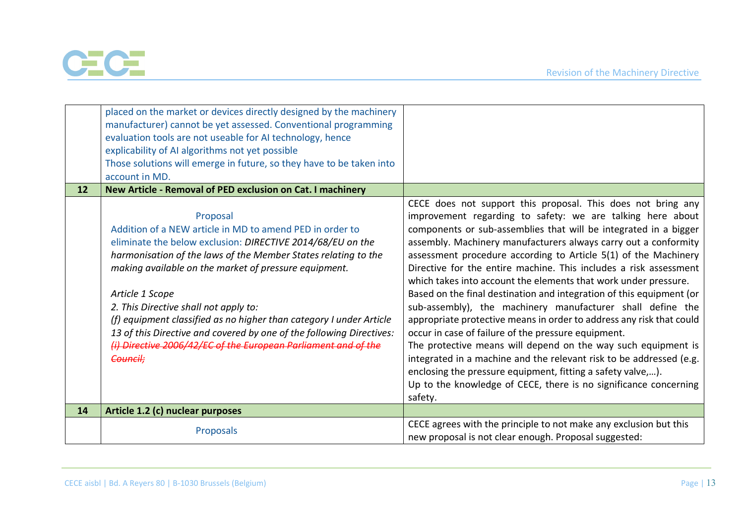

|    | placed on the market or devices directly designed by the machinery<br>manufacturer) cannot be yet assessed. Conventional programming<br>evaluation tools are not useable for AI technology, hence<br>explicability of AI algorithms not yet possible<br>Those solutions will emerge in future, so they have to be taken into<br>account in MD.                                                                                                                                                                                                         |                                                                                                                                                                                                                                                                                                                                                                                                                                                                                                                                                                                                                                                                                                                                                                                                                                                                                                                                                                                                                                         |
|----|--------------------------------------------------------------------------------------------------------------------------------------------------------------------------------------------------------------------------------------------------------------------------------------------------------------------------------------------------------------------------------------------------------------------------------------------------------------------------------------------------------------------------------------------------------|-----------------------------------------------------------------------------------------------------------------------------------------------------------------------------------------------------------------------------------------------------------------------------------------------------------------------------------------------------------------------------------------------------------------------------------------------------------------------------------------------------------------------------------------------------------------------------------------------------------------------------------------------------------------------------------------------------------------------------------------------------------------------------------------------------------------------------------------------------------------------------------------------------------------------------------------------------------------------------------------------------------------------------------------|
| 12 | New Article - Removal of PED exclusion on Cat. I machinery                                                                                                                                                                                                                                                                                                                                                                                                                                                                                             |                                                                                                                                                                                                                                                                                                                                                                                                                                                                                                                                                                                                                                                                                                                                                                                                                                                                                                                                                                                                                                         |
|    | Proposal<br>Addition of a NEW article in MD to amend PED in order to<br>eliminate the below exclusion: DIRECTIVE 2014/68/EU on the<br>harmonisation of the laws of the Member States relating to the<br>making available on the market of pressure equipment.<br>Article 1 Scope<br>2. This Directive shall not apply to:<br>(f) equipment classified as no higher than category I under Article<br>13 of this Directive and covered by one of the following Directives:<br>(i) Directive 2006/42/EC of the European Parliament and of the<br>Council: | CECE does not support this proposal. This does not bring any<br>improvement regarding to safety: we are talking here about<br>components or sub-assemblies that will be integrated in a bigger<br>assembly. Machinery manufacturers always carry out a conformity<br>assessment procedure according to Article 5(1) of the Machinery<br>Directive for the entire machine. This includes a risk assessment<br>which takes into account the elements that work under pressure.<br>Based on the final destination and integration of this equipment (or<br>sub-assembly), the machinery manufacturer shall define the<br>appropriate protective means in order to address any risk that could<br>occur in case of failure of the pressure equipment.<br>The protective means will depend on the way such equipment is<br>integrated in a machine and the relevant risk to be addressed (e.g.<br>enclosing the pressure equipment, fitting a safety valve,).<br>Up to the knowledge of CECE, there is no significance concerning<br>safety. |
| 14 | Article 1.2 (c) nuclear purposes                                                                                                                                                                                                                                                                                                                                                                                                                                                                                                                       |                                                                                                                                                                                                                                                                                                                                                                                                                                                                                                                                                                                                                                                                                                                                                                                                                                                                                                                                                                                                                                         |
|    | Proposals                                                                                                                                                                                                                                                                                                                                                                                                                                                                                                                                              | CECE agrees with the principle to not make any exclusion but this<br>new proposal is not clear enough. Proposal suggested:                                                                                                                                                                                                                                                                                                                                                                                                                                                                                                                                                                                                                                                                                                                                                                                                                                                                                                              |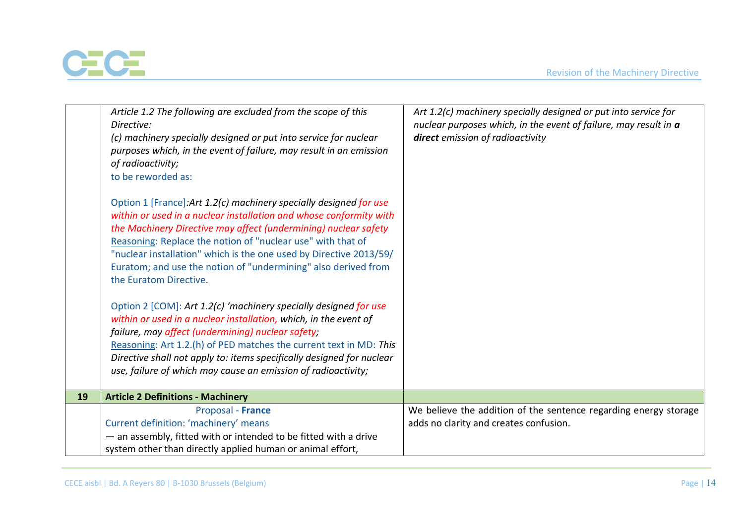

|    | Article 1.2 The following are excluded from the scope of this<br>Directive:<br>(c) machinery specially designed or put into service for nuclear<br>purposes which, in the event of failure, may result in an emission<br>of radioactivity;<br>to be reworded as:<br>Option 1 [France]: Art 1.2(c) machinery specially designed for use<br>within or used in a nuclear installation and whose conformity with<br>the Machinery Directive may affect (undermining) nuclear safety<br>Reasoning: Replace the notion of "nuclear use" with that of<br>"nuclear installation" which is the one used by Directive 2013/59/<br>Euratom; and use the notion of "undermining" also derived from<br>the Euratom Directive.<br>Option 2 [COM]: Art 1.2(c) 'machinery specially designed for use<br>within or used in a nuclear installation, which, in the event of<br>failure, may affect (undermining) nuclear safety;<br>Reasoning: Art 1.2.(h) of PED matches the current text in MD: This<br>Directive shall not apply to: items specifically designed for nuclear | Art 1.2(c) machinery specially designed or put into service for<br>nuclear purposes which, in the event of failure, may result in a<br>direct emission of radioactivity |
|----|--------------------------------------------------------------------------------------------------------------------------------------------------------------------------------------------------------------------------------------------------------------------------------------------------------------------------------------------------------------------------------------------------------------------------------------------------------------------------------------------------------------------------------------------------------------------------------------------------------------------------------------------------------------------------------------------------------------------------------------------------------------------------------------------------------------------------------------------------------------------------------------------------------------------------------------------------------------------------------------------------------------------------------------------------------------|-------------------------------------------------------------------------------------------------------------------------------------------------------------------------|
|    | use, failure of which may cause an emission of radioactivity;                                                                                                                                                                                                                                                                                                                                                                                                                                                                                                                                                                                                                                                                                                                                                                                                                                                                                                                                                                                                |                                                                                                                                                                         |
| 19 | <b>Article 2 Definitions - Machinery</b>                                                                                                                                                                                                                                                                                                                                                                                                                                                                                                                                                                                                                                                                                                                                                                                                                                                                                                                                                                                                                     |                                                                                                                                                                         |
|    | Proposal - France<br>Current definition: 'machinery' means<br>- an assembly, fitted with or intended to be fitted with a drive<br>system other than directly applied human or animal effort,                                                                                                                                                                                                                                                                                                                                                                                                                                                                                                                                                                                                                                                                                                                                                                                                                                                                 | We believe the addition of the sentence regarding energy storage<br>adds no clarity and creates confusion.                                                              |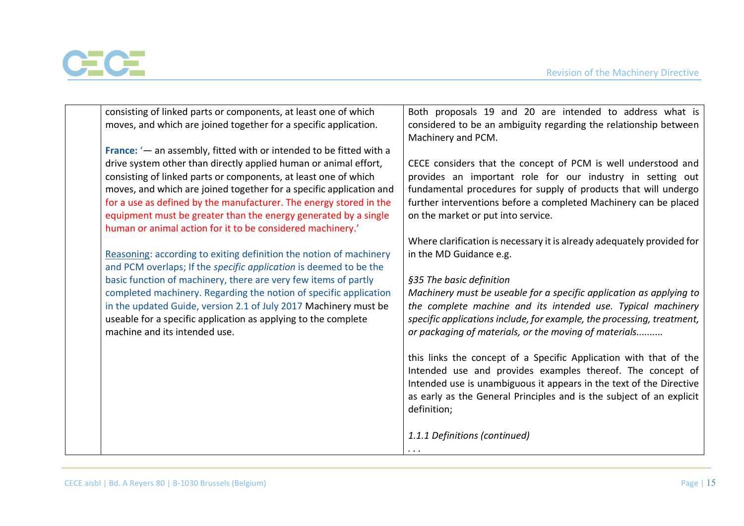

| consisting of linked parts or components, at least one of which                                                               | Both proposals 19 and 20 are intended to address what is                                                                        |
|-------------------------------------------------------------------------------------------------------------------------------|---------------------------------------------------------------------------------------------------------------------------------|
| moves, and which are joined together for a specific application.                                                              | considered to be an ambiguity regarding the relationship between<br>Machinery and PCM.                                          |
| France: $4$ an assembly, fitted with or intended to be fitted with a                                                          |                                                                                                                                 |
| drive system other than directly applied human or animal effort,                                                              | CECE considers that the concept of PCM is well understood and                                                                   |
| consisting of linked parts or components, at least one of which                                                               | provides an important role for our industry in setting out                                                                      |
| moves, and which are joined together for a specific application and                                                           | fundamental procedures for supply of products that will undergo                                                                 |
| for a use as defined by the manufacturer. The energy stored in the                                                            | further interventions before a completed Machinery can be placed                                                                |
| equipment must be greater than the energy generated by a single<br>human or animal action for it to be considered machinery.' | on the market or put into service.                                                                                              |
|                                                                                                                               | Where clarification is necessary it is already adequately provided for                                                          |
| Reasoning: according to exiting definition the notion of machinery                                                            | in the MD Guidance e.g.                                                                                                         |
| and PCM overlaps; If the specific application is deemed to be the                                                             |                                                                                                                                 |
| basic function of machinery, there are very few items of partly                                                               | §35 The basic definition                                                                                                        |
| completed machinery. Regarding the notion of specific application                                                             | Machinery must be useable for a specific application as applying to                                                             |
| in the updated Guide, version 2.1 of July 2017 Machinery must be                                                              | the complete machine and its intended use. Typical machinery                                                                    |
| useable for a specific application as applying to the complete                                                                | specific applications include, for example, the processing, treatment,                                                          |
| machine and its intended use.                                                                                                 | or packaging of materials, or the moving of materials                                                                           |
|                                                                                                                               | this links the concept of a Specific Application with that of the<br>Intended use and provides examples thereof. The concept of |
|                                                                                                                               | Intended use is unambiguous it appears in the text of the Directive                                                             |
|                                                                                                                               | as early as the General Principles and is the subject of an explicit                                                            |
|                                                                                                                               | definition;                                                                                                                     |
|                                                                                                                               |                                                                                                                                 |
|                                                                                                                               | 1.1.1 Definitions (continued)                                                                                                   |
|                                                                                                                               | $\cdots$                                                                                                                        |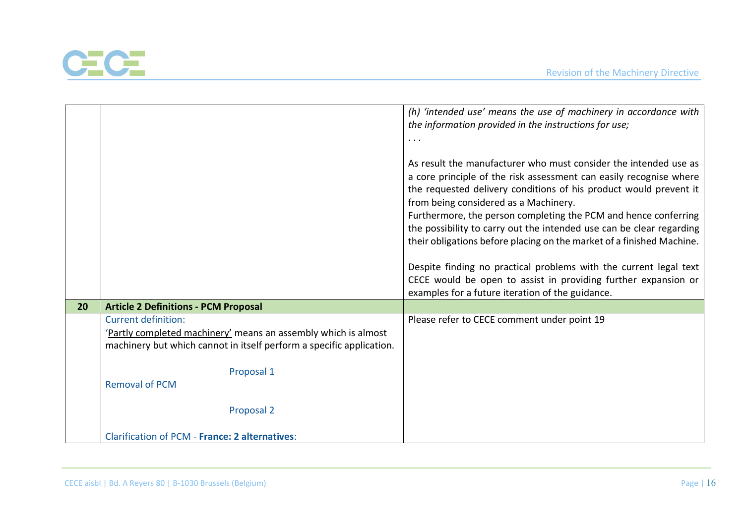

|    |                                                                      | (h) 'intended use' means the use of machinery in accordance with                                                                                                                                                                                                                                                                                                                                |
|----|----------------------------------------------------------------------|-------------------------------------------------------------------------------------------------------------------------------------------------------------------------------------------------------------------------------------------------------------------------------------------------------------------------------------------------------------------------------------------------|
|    |                                                                      | the information provided in the instructions for use;                                                                                                                                                                                                                                                                                                                                           |
|    |                                                                      | $\cdots$                                                                                                                                                                                                                                                                                                                                                                                        |
|    |                                                                      | As result the manufacturer who must consider the intended use as<br>a core principle of the risk assessment can easily recognise where<br>the requested delivery conditions of his product would prevent it<br>from being considered as a Machinery.<br>Furthermore, the person completing the PCM and hence conferring<br>the possibility to carry out the intended use can be clear regarding |
|    |                                                                      | their obligations before placing on the market of a finished Machine.                                                                                                                                                                                                                                                                                                                           |
|    |                                                                      | Despite finding no practical problems with the current legal text                                                                                                                                                                                                                                                                                                                               |
|    |                                                                      | CECE would be open to assist in providing further expansion or                                                                                                                                                                                                                                                                                                                                  |
|    |                                                                      | examples for a future iteration of the guidance.                                                                                                                                                                                                                                                                                                                                                |
| 20 | <b>Article 2 Definitions - PCM Proposal</b>                          |                                                                                                                                                                                                                                                                                                                                                                                                 |
|    | <b>Current definition:</b>                                           | Please refer to CECE comment under point 19                                                                                                                                                                                                                                                                                                                                                     |
|    | 'Partly completed machinery' means an assembly which is almost       |                                                                                                                                                                                                                                                                                                                                                                                                 |
|    | machinery but which cannot in itself perform a specific application. |                                                                                                                                                                                                                                                                                                                                                                                                 |
|    | Proposal 1                                                           |                                                                                                                                                                                                                                                                                                                                                                                                 |
|    | <b>Removal of PCM</b>                                                |                                                                                                                                                                                                                                                                                                                                                                                                 |
|    | Proposal 2                                                           |                                                                                                                                                                                                                                                                                                                                                                                                 |
|    | <b>Clarification of PCM - France: 2 alternatives:</b>                |                                                                                                                                                                                                                                                                                                                                                                                                 |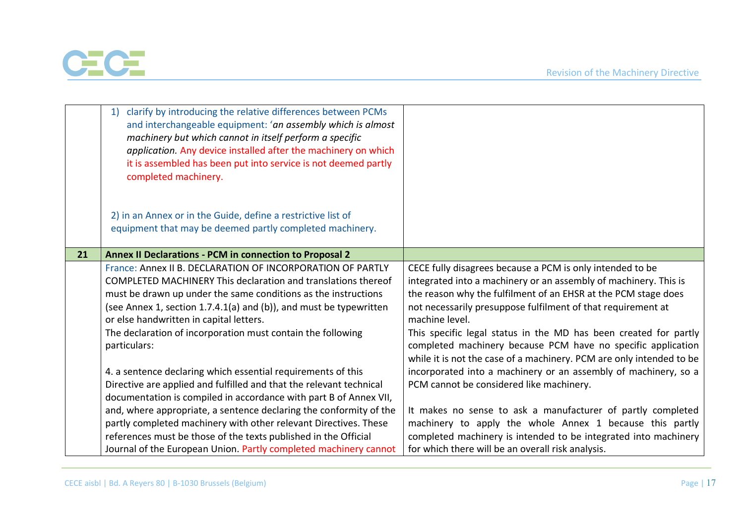

|    | clarify by introducing the relative differences between PCMs<br>1)<br>and interchangeable equipment: 'an assembly which is almost<br>machinery but which cannot in itself perform a specific<br>application. Any device installed after the machinery on which<br>it is assembled has been put into service is not deemed partly<br>completed machinery.<br>2) in an Annex or in the Guide, define a restrictive list of |                                                                                                                                                                                                                                                                                                                                                       |
|----|--------------------------------------------------------------------------------------------------------------------------------------------------------------------------------------------------------------------------------------------------------------------------------------------------------------------------------------------------------------------------------------------------------------------------|-------------------------------------------------------------------------------------------------------------------------------------------------------------------------------------------------------------------------------------------------------------------------------------------------------------------------------------------------------|
|    | equipment that may be deemed partly completed machinery.                                                                                                                                                                                                                                                                                                                                                                 |                                                                                                                                                                                                                                                                                                                                                       |
| 21 | Annex II Declarations - PCM in connection to Proposal 2                                                                                                                                                                                                                                                                                                                                                                  |                                                                                                                                                                                                                                                                                                                                                       |
|    | France: Annex II B. DECLARATION OF INCORPORATION OF PARTLY<br>COMPLETED MACHINERY This declaration and translations thereof<br>must be drawn up under the same conditions as the instructions<br>(see Annex 1, section 1.7.4.1(a) and (b)), and must be typewritten<br>or else handwritten in capital letters.<br>The declaration of incorporation must contain the following                                            | CECE fully disagrees because a PCM is only intended to be<br>integrated into a machinery or an assembly of machinery. This is<br>the reason why the fulfilment of an EHSR at the PCM stage does<br>not necessarily presuppose fulfilment of that requirement at<br>machine level.<br>This specific legal status in the MD has been created for partly |
|    | particulars:<br>4. a sentence declaring which essential requirements of this<br>Directive are applied and fulfilled and that the relevant technical<br>documentation is compiled in accordance with part B of Annex VII,                                                                                                                                                                                                 | completed machinery because PCM have no specific application<br>while it is not the case of a machinery. PCM are only intended to be<br>incorporated into a machinery or an assembly of machinery, so a<br>PCM cannot be considered like machinery.                                                                                                   |
|    | and, where appropriate, a sentence declaring the conformity of the<br>partly completed machinery with other relevant Directives. These<br>references must be those of the texts published in the Official<br>Journal of the European Union. Partly completed machinery cannot                                                                                                                                            | It makes no sense to ask a manufacturer of partly completed<br>machinery to apply the whole Annex 1 because this partly<br>completed machinery is intended to be integrated into machinery<br>for which there will be an overall risk analysis.                                                                                                       |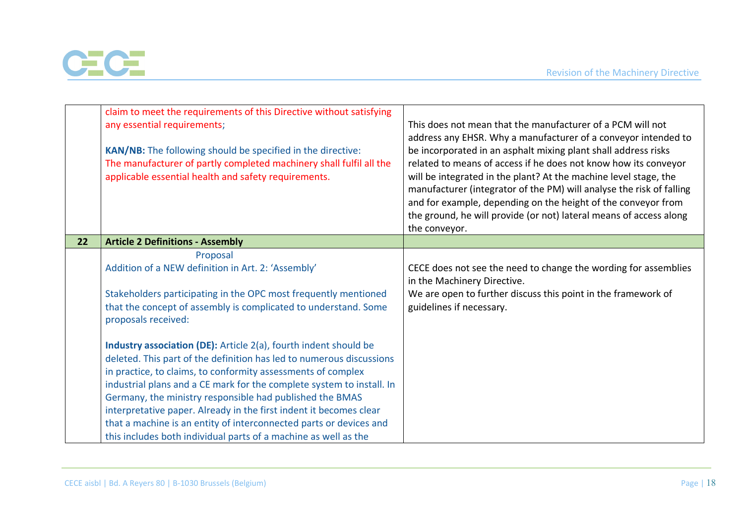

|    | claim to meet the requirements of this Directive without satisfying<br>any essential requirements;<br>KAN/NB: The following should be specified in the directive:<br>The manufacturer of partly completed machinery shall fulfil all the<br>applicable essential health and safety requirements.                                                                                                                                                                                                                                                                                                                                                                                                                                                                                                   | This does not mean that the manufacturer of a PCM will not<br>address any EHSR. Why a manufacturer of a conveyor intended to<br>be incorporated in an asphalt mixing plant shall address risks<br>related to means of access if he does not know how its conveyor<br>will be integrated in the plant? At the machine level stage, the<br>manufacturer (integrator of the PM) will analyse the risk of falling<br>and for example, depending on the height of the conveyor from<br>the ground, he will provide (or not) lateral means of access along<br>the conveyor. |
|----|----------------------------------------------------------------------------------------------------------------------------------------------------------------------------------------------------------------------------------------------------------------------------------------------------------------------------------------------------------------------------------------------------------------------------------------------------------------------------------------------------------------------------------------------------------------------------------------------------------------------------------------------------------------------------------------------------------------------------------------------------------------------------------------------------|-----------------------------------------------------------------------------------------------------------------------------------------------------------------------------------------------------------------------------------------------------------------------------------------------------------------------------------------------------------------------------------------------------------------------------------------------------------------------------------------------------------------------------------------------------------------------|
| 22 | <b>Article 2 Definitions - Assembly</b>                                                                                                                                                                                                                                                                                                                                                                                                                                                                                                                                                                                                                                                                                                                                                            |                                                                                                                                                                                                                                                                                                                                                                                                                                                                                                                                                                       |
|    | Proposal<br>Addition of a NEW definition in Art. 2: 'Assembly'<br>Stakeholders participating in the OPC most frequently mentioned<br>that the concept of assembly is complicated to understand. Some<br>proposals received:<br><b>Industry association (DE):</b> Article 2(a), fourth indent should be<br>deleted. This part of the definition has led to numerous discussions<br>in practice, to claims, to conformity assessments of complex<br>industrial plans and a CE mark for the complete system to install. In<br>Germany, the ministry responsible had published the BMAS<br>interpretative paper. Already in the first indent it becomes clear<br>that a machine is an entity of interconnected parts or devices and<br>this includes both individual parts of a machine as well as the | CECE does not see the need to change the wording for assemblies<br>in the Machinery Directive.<br>We are open to further discuss this point in the framework of<br>guidelines if necessary.                                                                                                                                                                                                                                                                                                                                                                           |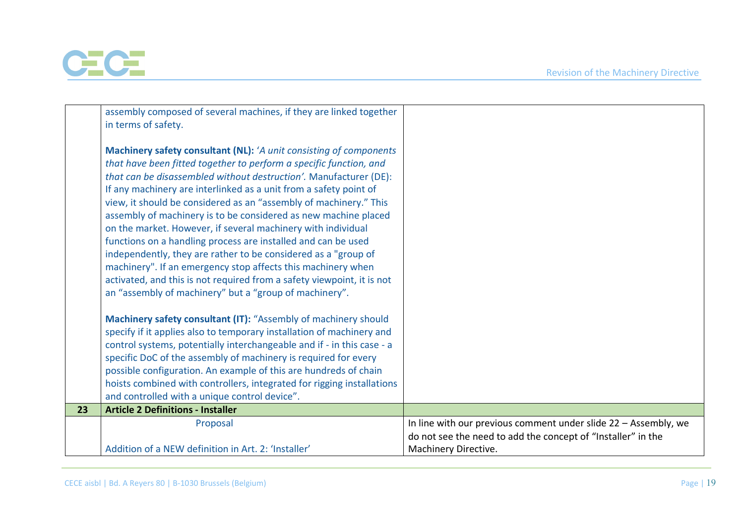

|    | assembly composed of several machines, if they are linked together     |                                                                 |
|----|------------------------------------------------------------------------|-----------------------------------------------------------------|
|    | in terms of safety.                                                    |                                                                 |
|    |                                                                        |                                                                 |
|    | Machinery safety consultant (NL): 'A unit consisting of components     |                                                                 |
|    | that have been fitted together to perform a specific function, and     |                                                                 |
|    | that can be disassembled without destruction'. Manufacturer (DE):      |                                                                 |
|    | If any machinery are interlinked as a unit from a safety point of      |                                                                 |
|    | view, it should be considered as an "assembly of machinery." This      |                                                                 |
|    | assembly of machinery is to be considered as new machine placed        |                                                                 |
|    | on the market. However, if several machinery with individual           |                                                                 |
|    | functions on a handling process are installed and can be used          |                                                                 |
|    | independently, they are rather to be considered as a "group of         |                                                                 |
|    | machinery". If an emergency stop affects this machinery when           |                                                                 |
|    | activated, and this is not required from a safety viewpoint, it is not |                                                                 |
|    | an "assembly of machinery" but a "group of machinery".                 |                                                                 |
|    |                                                                        |                                                                 |
|    | Machinery safety consultant (IT): "Assembly of machinery should        |                                                                 |
|    | specify if it applies also to temporary installation of machinery and  |                                                                 |
|    | control systems, potentially interchangeable and if - in this case - a |                                                                 |
|    | specific DoC of the assembly of machinery is required for every        |                                                                 |
|    | possible configuration. An example of this are hundreds of chain       |                                                                 |
|    | hoists combined with controllers, integrated for rigging installations |                                                                 |
|    | and controlled with a unique control device".                          |                                                                 |
| 23 | <b>Article 2 Definitions - Installer</b>                               |                                                                 |
|    | Proposal                                                               | In line with our previous comment under slide 22 - Assembly, we |
|    |                                                                        | do not see the need to add the concept of "Installer" in the    |
|    | Addition of a NEW definition in Art. 2: 'Installer'                    | Machinery Directive.                                            |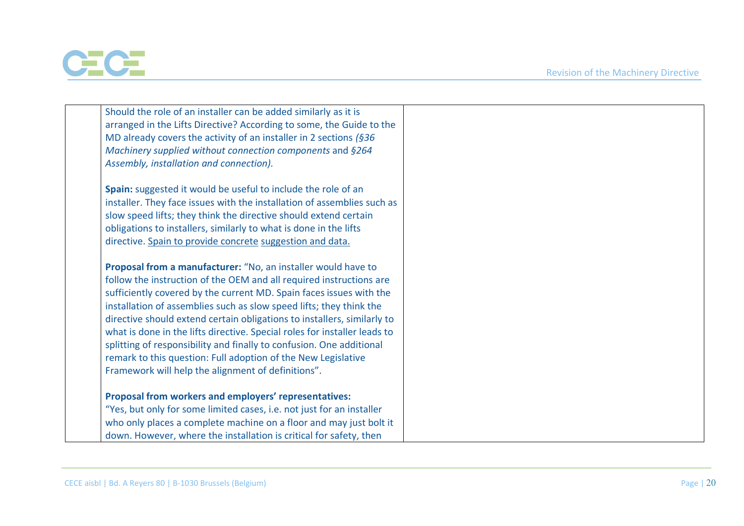

| Should the role of an installer can be added similarly as it is                                                                             |
|---------------------------------------------------------------------------------------------------------------------------------------------|
| arranged in the Lifts Directive? According to some, the Guide to the                                                                        |
| MD already covers the activity of an installer in 2 sections $(§36$                                                                         |
| Machinery supplied without connection components and §264                                                                                   |
| Assembly, installation and connection).                                                                                                     |
|                                                                                                                                             |
| Spain: suggested it would be useful to include the role of an                                                                               |
| installer. They face issues with the installation of assemblies such as                                                                     |
| slow speed lifts; they think the directive should extend certain                                                                            |
| obligations to installers, similarly to what is done in the lifts                                                                           |
| directive. Spain to provide concrete suggestion and data.                                                                                   |
|                                                                                                                                             |
| Proposal from a manufacturer: "No, an installer would have to                                                                               |
| follow the instruction of the OEM and all required instructions are                                                                         |
| sufficiently covered by the current MD. Spain faces issues with the                                                                         |
| installation of assemblies such as slow speed lifts; they think the                                                                         |
| directive should extend certain obligations to installers, similarly to                                                                     |
| what is done in the lifts directive. Special roles for installer leads to                                                                   |
| splitting of responsibility and finally to confusion. One additional                                                                        |
| remark to this question: Full adoption of the New Legislative                                                                               |
| Framework will help the alignment of definitions".                                                                                          |
|                                                                                                                                             |
| Proposal from workers and employers' representatives:                                                                                       |
| "Yes, but only for some limited cases, i.e. not just for an installer<br>who only places a complete machine on a floor and may just bolt it |
| down. However, where the installation is critical for safety, then                                                                          |
|                                                                                                                                             |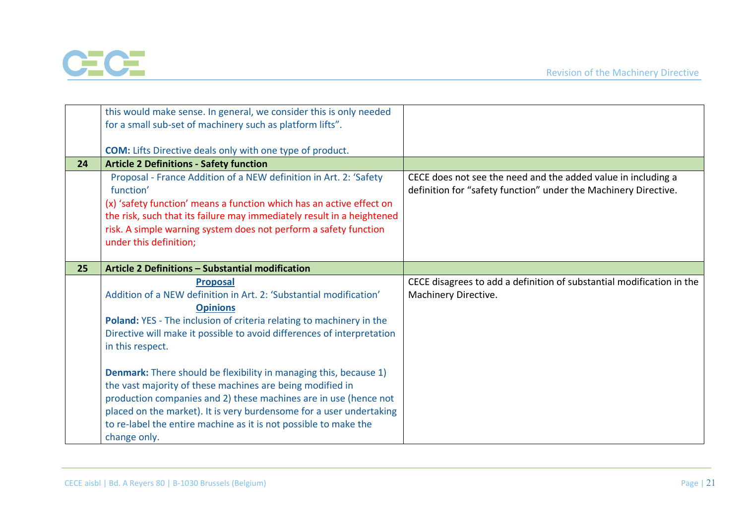

|    | this would make sense. In general, we consider this is only needed             |                                                                                                                                  |
|----|--------------------------------------------------------------------------------|----------------------------------------------------------------------------------------------------------------------------------|
|    | for a small sub-set of machinery such as platform lifts".                      |                                                                                                                                  |
|    |                                                                                |                                                                                                                                  |
|    | <b>COM:</b> Lifts Directive deals only with one type of product.               |                                                                                                                                  |
| 24 | <b>Article 2 Definitions - Safety function</b>                                 |                                                                                                                                  |
|    | Proposal - France Addition of a NEW definition in Art. 2: 'Safety<br>function' | CECE does not see the need and the added value in including a<br>definition for "safety function" under the Machinery Directive. |
|    | (x) 'safety function' means a function which has an active effect on           |                                                                                                                                  |
|    | the risk, such that its failure may immediately result in a heightened         |                                                                                                                                  |
|    | risk. A simple warning system does not perform a safety function               |                                                                                                                                  |
|    | under this definition;                                                         |                                                                                                                                  |
|    |                                                                                |                                                                                                                                  |
| 25 | Article 2 Definitions - Substantial modification                               |                                                                                                                                  |
|    | <b>Proposal</b>                                                                | CECE disagrees to add a definition of substantial modification in the                                                            |
|    | Addition of a NEW definition in Art. 2: 'Substantial modification'             | Machinery Directive.                                                                                                             |
|    | <b>Opinions</b>                                                                |                                                                                                                                  |
|    | Poland: YES - The inclusion of criteria relating to machinery in the           |                                                                                                                                  |
|    | Directive will make it possible to avoid differences of interpretation         |                                                                                                                                  |
|    | in this respect.                                                               |                                                                                                                                  |
|    |                                                                                |                                                                                                                                  |
|    | <b>Denmark:</b> There should be flexibility in managing this, because 1)       |                                                                                                                                  |
|    | the vast majority of these machines are being modified in                      |                                                                                                                                  |
|    | production companies and 2) these machines are in use (hence not               |                                                                                                                                  |
|    | placed on the market). It is very burdensome for a user undertaking            |                                                                                                                                  |
|    | to re-label the entire machine as it is not possible to make the               |                                                                                                                                  |
|    |                                                                                |                                                                                                                                  |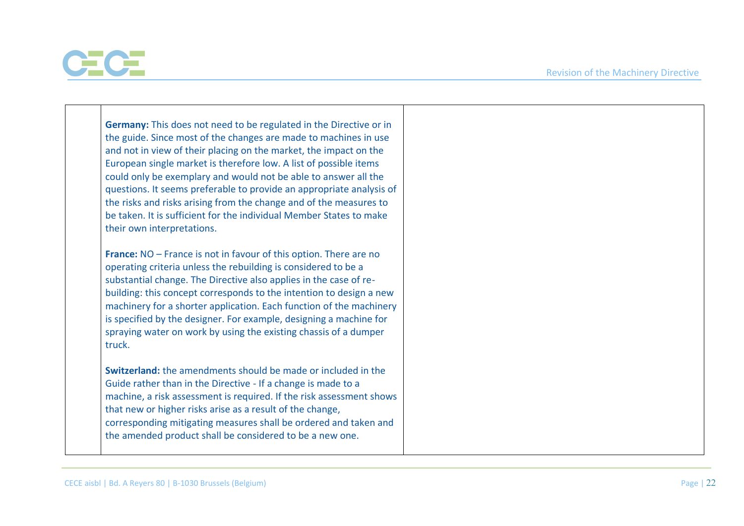

| Germany: This does not need to be regulated in the Directive or in<br>the guide. Since most of the changes are made to machines in use<br>and not in view of their placing on the market, the impact on the<br>European single market is therefore low. A list of possible items<br>could only be exemplary and would not be able to answer all the<br>questions. It seems preferable to provide an appropriate analysis of<br>the risks and risks arising from the change and of the measures to<br>be taken. It is sufficient for the individual Member States to make<br>their own interpretations. |
|--------------------------------------------------------------------------------------------------------------------------------------------------------------------------------------------------------------------------------------------------------------------------------------------------------------------------------------------------------------------------------------------------------------------------------------------------------------------------------------------------------------------------------------------------------------------------------------------------------|
| <b>France:</b> NO – France is not in favour of this option. There are no<br>operating criteria unless the rebuilding is considered to be a<br>substantial change. The Directive also applies in the case of re-<br>building: this concept corresponds to the intention to design a new<br>machinery for a shorter application. Each function of the machinery<br>is specified by the designer. For example, designing a machine for<br>spraying water on work by using the existing chassis of a dumper<br>truck.                                                                                      |
| <b>Switzerland:</b> the amendments should be made or included in the<br>Guide rather than in the Directive - If a change is made to a<br>machine, a risk assessment is required. If the risk assessment shows<br>that new or higher risks arise as a result of the change,<br>corresponding mitigating measures shall be ordered and taken and<br>the amended product shall be considered to be a new one.                                                                                                                                                                                             |

┬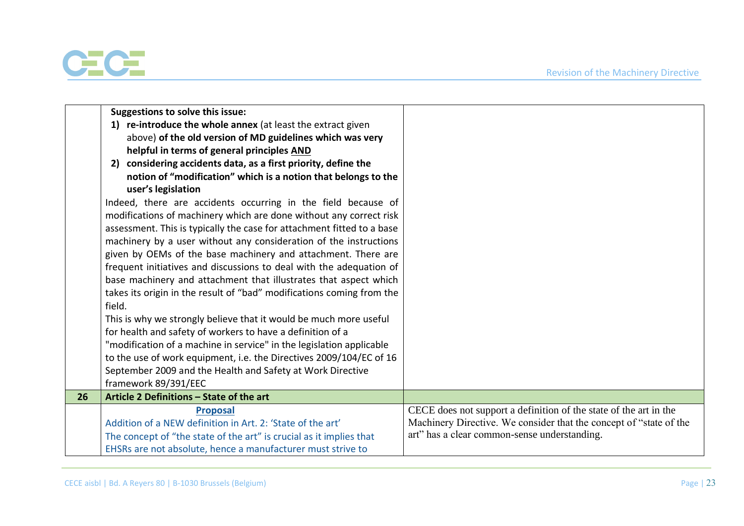

|    | Suggestions to solve this issue:<br>1) re-introduce the whole annex (at least the extract given<br>above) of the old version of MD guidelines which was very<br>helpful in terms of general principles AND<br>2) considering accidents data, as a first priority, define the<br>notion of "modification" which is a notion that belongs to the<br>user's legislation<br>Indeed, there are accidents occurring in the field because of<br>modifications of machinery which are done without any correct risk<br>assessment. This is typically the case for attachment fitted to a base<br>machinery by a user without any consideration of the instructions<br>given by OEMs of the base machinery and attachment. There are<br>frequent initiatives and discussions to deal with the adequation of<br>base machinery and attachment that illustrates that aspect which<br>takes its origin in the result of "bad" modifications coming from the<br>field.<br>This is why we strongly believe that it would be much more useful<br>for health and safety of workers to have a definition of a<br>"modification of a machine in service" in the legislation applicable<br>to the use of work equipment, i.e. the Directives 2009/104/EC of 16<br>September 2009 and the Health and Safety at Work Directive |                                                                                                                    |
|----|-----------------------------------------------------------------------------------------------------------------------------------------------------------------------------------------------------------------------------------------------------------------------------------------------------------------------------------------------------------------------------------------------------------------------------------------------------------------------------------------------------------------------------------------------------------------------------------------------------------------------------------------------------------------------------------------------------------------------------------------------------------------------------------------------------------------------------------------------------------------------------------------------------------------------------------------------------------------------------------------------------------------------------------------------------------------------------------------------------------------------------------------------------------------------------------------------------------------------------------------------------------------------------------------------------------|--------------------------------------------------------------------------------------------------------------------|
| 26 | framework 89/391/EEC<br>Article 2 Definitions - State of the art                                                                                                                                                                                                                                                                                                                                                                                                                                                                                                                                                                                                                                                                                                                                                                                                                                                                                                                                                                                                                                                                                                                                                                                                                                          |                                                                                                                    |
|    | <b>Proposal</b>                                                                                                                                                                                                                                                                                                                                                                                                                                                                                                                                                                                                                                                                                                                                                                                                                                                                                                                                                                                                                                                                                                                                                                                                                                                                                           | CECE does not support a definition of the state of the art in the                                                  |
|    | Addition of a NEW definition in Art. 2: 'State of the art'<br>The concept of "the state of the art" is crucial as it implies that<br>EHSRs are not absolute, hence a manufacturer must strive to                                                                                                                                                                                                                                                                                                                                                                                                                                                                                                                                                                                                                                                                                                                                                                                                                                                                                                                                                                                                                                                                                                          | Machinery Directive. We consider that the concept of "state of the<br>art" has a clear common-sense understanding. |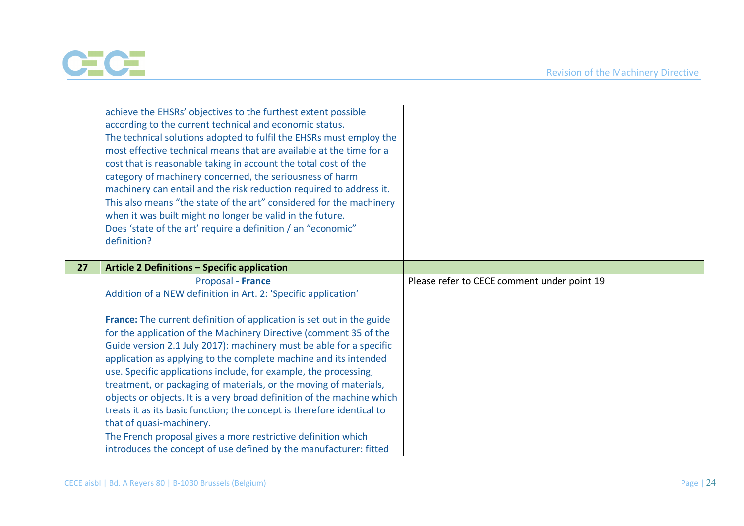

|    | achieve the EHSRs' objectives to the furthest extent possible<br>according to the current technical and economic status.<br>The technical solutions adopted to fulfil the EHSRs must employ the<br>most effective technical means that are available at the time for a<br>cost that is reasonable taking in account the total cost of the<br>category of machinery concerned, the seriousness of harm<br>machinery can entail and the risk reduction required to address it.<br>This also means "the state of the art" considered for the machinery<br>when it was built might no longer be valid in the future.<br>Does 'state of the art' require a definition / an "economic"<br>definition?                                                                                                                                             |                                             |
|----|---------------------------------------------------------------------------------------------------------------------------------------------------------------------------------------------------------------------------------------------------------------------------------------------------------------------------------------------------------------------------------------------------------------------------------------------------------------------------------------------------------------------------------------------------------------------------------------------------------------------------------------------------------------------------------------------------------------------------------------------------------------------------------------------------------------------------------------------|---------------------------------------------|
| 27 | <b>Article 2 Definitions - Specific application</b>                                                                                                                                                                                                                                                                                                                                                                                                                                                                                                                                                                                                                                                                                                                                                                                         |                                             |
|    | Proposal - France<br>Addition of a NEW definition in Art. 2: 'Specific application'<br>France: The current definition of application is set out in the guide<br>for the application of the Machinery Directive (comment 35 of the<br>Guide version 2.1 July 2017): machinery must be able for a specific<br>application as applying to the complete machine and its intended<br>use. Specific applications include, for example, the processing,<br>treatment, or packaging of materials, or the moving of materials,<br>objects or objects. It is a very broad definition of the machine which<br>treats it as its basic function; the concept is therefore identical to<br>that of quasi-machinery.<br>The French proposal gives a more restrictive definition which<br>introduces the concept of use defined by the manufacturer: fitted | Please refer to CECE comment under point 19 |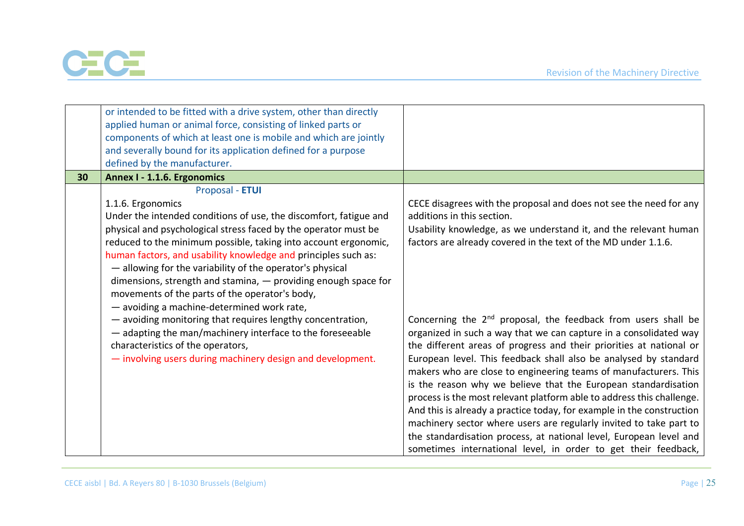

|    | or intended to be fitted with a drive system, other than directly<br>applied human or animal force, consisting of linked parts or<br>components of which at least one is mobile and which are jointly<br>and severally bound for its application defined for a purpose<br>defined by the manufacturer.                                                                                                                                                                                                                                                                                                                                                                                                             |                                                                                                                                                                                                                                                                                                                                                                                                                                                                                                                                                                        |
|----|--------------------------------------------------------------------------------------------------------------------------------------------------------------------------------------------------------------------------------------------------------------------------------------------------------------------------------------------------------------------------------------------------------------------------------------------------------------------------------------------------------------------------------------------------------------------------------------------------------------------------------------------------------------------------------------------------------------------|------------------------------------------------------------------------------------------------------------------------------------------------------------------------------------------------------------------------------------------------------------------------------------------------------------------------------------------------------------------------------------------------------------------------------------------------------------------------------------------------------------------------------------------------------------------------|
| 30 | Annex I - 1.1.6. Ergonomics                                                                                                                                                                                                                                                                                                                                                                                                                                                                                                                                                                                                                                                                                        |                                                                                                                                                                                                                                                                                                                                                                                                                                                                                                                                                                        |
|    | Proposal - ETUI<br>1.1.6. Ergonomics<br>Under the intended conditions of use, the discomfort, fatigue and<br>physical and psychological stress faced by the operator must be<br>reduced to the minimum possible, taking into account ergonomic,<br>human factors, and usability knowledge and principles such as:<br>- allowing for the variability of the operator's physical<br>dimensions, strength and stamina, $-$ providing enough space for<br>movements of the parts of the operator's body,<br>- avoiding a machine-determined work rate,<br>- avoiding monitoring that requires lengthy concentration,<br>- adapting the man/machinery interface to the foreseeable<br>characteristics of the operators, | CECE disagrees with the proposal and does not see the need for any<br>additions in this section.<br>Usability knowledge, as we understand it, and the relevant human<br>factors are already covered in the text of the MD under 1.1.6.<br>Concerning the 2 <sup>nd</sup> proposal, the feedback from users shall be<br>organized in such a way that we can capture in a consolidated way<br>the different areas of progress and their priorities at national or                                                                                                        |
|    | - involving users during machinery design and development.                                                                                                                                                                                                                                                                                                                                                                                                                                                                                                                                                                                                                                                         | European level. This feedback shall also be analysed by standard<br>makers who are close to engineering teams of manufacturers. This<br>is the reason why we believe that the European standardisation<br>process is the most relevant platform able to address this challenge.<br>And this is already a practice today, for example in the construction<br>machinery sector where users are regularly invited to take part to<br>the standardisation process, at national level, European level and<br>sometimes international level, in order to get their feedback, |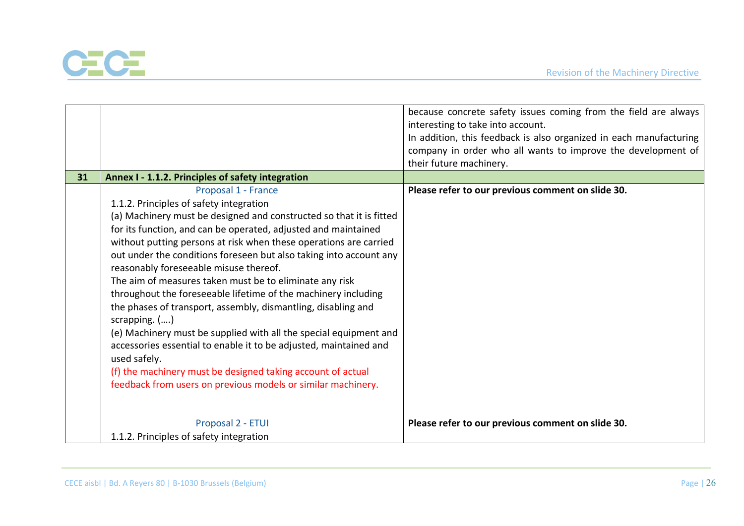

|    |                                                                     | because concrete safety issues coming from the field are always    |
|----|---------------------------------------------------------------------|--------------------------------------------------------------------|
|    |                                                                     | interesting to take into account.                                  |
|    |                                                                     | In addition, this feedback is also organized in each manufacturing |
|    |                                                                     | company in order who all wants to improve the development of       |
|    |                                                                     | their future machinery.                                            |
| 31 | Annex I - 1.1.2. Principles of safety integration                   |                                                                    |
|    | Proposal 1 - France                                                 | Please refer to our previous comment on slide 30.                  |
|    | 1.1.2. Principles of safety integration                             |                                                                    |
|    | (a) Machinery must be designed and constructed so that it is fitted |                                                                    |
|    | for its function, and can be operated, adjusted and maintained      |                                                                    |
|    | without putting persons at risk when these operations are carried   |                                                                    |
|    | out under the conditions foreseen but also taking into account any  |                                                                    |
|    | reasonably foreseeable misuse thereof.                              |                                                                    |
|    | The aim of measures taken must be to eliminate any risk             |                                                                    |
|    | throughout the foreseeable lifetime of the machinery including      |                                                                    |
|    | the phases of transport, assembly, dismantling, disabling and       |                                                                    |
|    | scrapping. ()                                                       |                                                                    |
|    | (e) Machinery must be supplied with all the special equipment and   |                                                                    |
|    | accessories essential to enable it to be adjusted, maintained and   |                                                                    |
|    | used safely.                                                        |                                                                    |
|    | (f) the machinery must be designed taking account of actual         |                                                                    |
|    | feedback from users on previous models or similar machinery.        |                                                                    |
|    |                                                                     |                                                                    |
|    |                                                                     |                                                                    |
|    | Proposal 2 - ETUI                                                   | Please refer to our previous comment on slide 30.                  |
|    | 1.1.2. Principles of safety integration                             |                                                                    |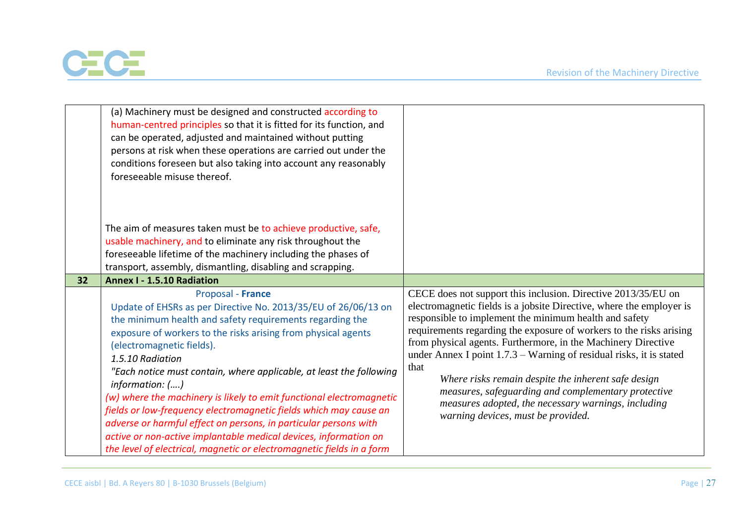

|    | (a) Machinery must be designed and constructed according to<br>human-centred principles so that it is fitted for its function, and<br>can be operated, adjusted and maintained without putting<br>persons at risk when these operations are carried out under the<br>conditions foreseen but also taking into account any reasonably<br>foreseeable misuse thereof.                                                                                                                                                                                                                                                                                                                                                       |                                                                                                                                                                                                                                                                                                                                                                                                                                                                                                                                                                                                                                     |
|----|---------------------------------------------------------------------------------------------------------------------------------------------------------------------------------------------------------------------------------------------------------------------------------------------------------------------------------------------------------------------------------------------------------------------------------------------------------------------------------------------------------------------------------------------------------------------------------------------------------------------------------------------------------------------------------------------------------------------------|-------------------------------------------------------------------------------------------------------------------------------------------------------------------------------------------------------------------------------------------------------------------------------------------------------------------------------------------------------------------------------------------------------------------------------------------------------------------------------------------------------------------------------------------------------------------------------------------------------------------------------------|
|    | The aim of measures taken must be to achieve productive, safe,<br>usable machinery, and to eliminate any risk throughout the<br>foreseeable lifetime of the machinery including the phases of<br>transport, assembly, dismantling, disabling and scrapping.                                                                                                                                                                                                                                                                                                                                                                                                                                                               |                                                                                                                                                                                                                                                                                                                                                                                                                                                                                                                                                                                                                                     |
| 32 | <b>Annex I - 1.5.10 Radiation</b>                                                                                                                                                                                                                                                                                                                                                                                                                                                                                                                                                                                                                                                                                         |                                                                                                                                                                                                                                                                                                                                                                                                                                                                                                                                                                                                                                     |
|    | Proposal - France<br>Update of EHSRs as per Directive No. 2013/35/EU of 26/06/13 on<br>the minimum health and safety requirements regarding the<br>exposure of workers to the risks arising from physical agents<br>(electromagnetic fields).<br>1.5.10 Radiation<br>"Each notice must contain, where applicable, at least the following<br>information: ()<br>(w) where the machinery is likely to emit functional electromagnetic<br>fields or low-frequency electromagnetic fields which may cause an<br>adverse or harmful effect on persons, in particular persons with<br>active or non-active implantable medical devices, information on<br>the level of electrical, magnetic or electromagnetic fields in a form | CECE does not support this inclusion. Directive 2013/35/EU on<br>electromagnetic fields is a jobsite Directive, where the employer is<br>responsible to implement the minimum health and safety<br>requirements regarding the exposure of workers to the risks arising<br>from physical agents. Furthermore, in the Machinery Directive<br>under Annex I point $1.7.3$ – Warning of residual risks, it is stated<br>that<br>Where risks remain despite the inherent safe design<br>measures, safeguarding and complementary protective<br>measures adopted, the necessary warnings, including<br>warning devices, must be provided. |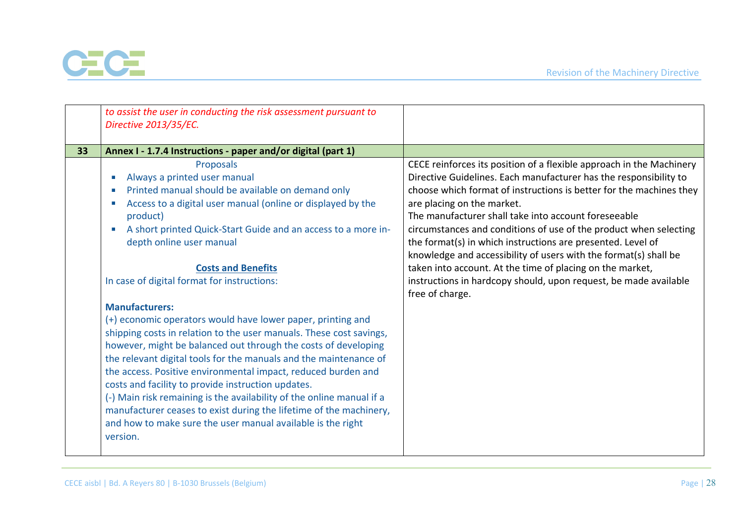

|    | to assist the user in conducting the risk assessment pursuant to<br>Directive 2013/35/EC.                                                                                                                                                                                                                                                                                                                                                                                                                                                                                                                                                                                                                                                                                                                                                                                                                                                                                                                                 |                                                                                                                                                                                                                                                                                                                                                                                                                                                                                                                                                                                                                                                                    |
|----|---------------------------------------------------------------------------------------------------------------------------------------------------------------------------------------------------------------------------------------------------------------------------------------------------------------------------------------------------------------------------------------------------------------------------------------------------------------------------------------------------------------------------------------------------------------------------------------------------------------------------------------------------------------------------------------------------------------------------------------------------------------------------------------------------------------------------------------------------------------------------------------------------------------------------------------------------------------------------------------------------------------------------|--------------------------------------------------------------------------------------------------------------------------------------------------------------------------------------------------------------------------------------------------------------------------------------------------------------------------------------------------------------------------------------------------------------------------------------------------------------------------------------------------------------------------------------------------------------------------------------------------------------------------------------------------------------------|
| 33 | Annex I - 1.7.4 Instructions - paper and/or digital (part 1)                                                                                                                                                                                                                                                                                                                                                                                                                                                                                                                                                                                                                                                                                                                                                                                                                                                                                                                                                              |                                                                                                                                                                                                                                                                                                                                                                                                                                                                                                                                                                                                                                                                    |
|    | Proposals<br>Always a printed user manual<br>Printed manual should be available on demand only<br>Access to a digital user manual (online or displayed by the<br>product)<br>A short printed Quick-Start Guide and an access to a more in-<br>$\mathcal{L}_{\rm{eff}}$<br>depth online user manual<br><b>Costs and Benefits</b><br>In case of digital format for instructions:<br><b>Manufacturers:</b><br>(+) economic operators would have lower paper, printing and<br>shipping costs in relation to the user manuals. These cost savings,<br>however, might be balanced out through the costs of developing<br>the relevant digital tools for the manuals and the maintenance of<br>the access. Positive environmental impact, reduced burden and<br>costs and facility to provide instruction updates.<br>(-) Main risk remaining is the availability of the online manual if a<br>manufacturer ceases to exist during the lifetime of the machinery,<br>and how to make sure the user manual available is the right | CECE reinforces its position of a flexible approach in the Machinery<br>Directive Guidelines. Each manufacturer has the responsibility to<br>choose which format of instructions is better for the machines they<br>are placing on the market.<br>The manufacturer shall take into account foreseeable<br>circumstances and conditions of use of the product when selecting<br>the format(s) in which instructions are presented. Level of<br>knowledge and accessibility of users with the format(s) shall be<br>taken into account. At the time of placing on the market,<br>instructions in hardcopy should, upon request, be made available<br>free of charge. |
|    | version.                                                                                                                                                                                                                                                                                                                                                                                                                                                                                                                                                                                                                                                                                                                                                                                                                                                                                                                                                                                                                  |                                                                                                                                                                                                                                                                                                                                                                                                                                                                                                                                                                                                                                                                    |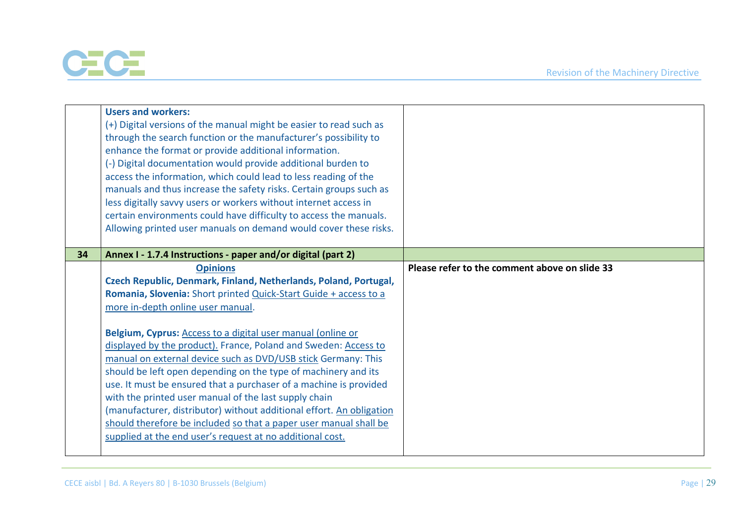

|    | <b>Users and workers:</b><br>(+) Digital versions of the manual might be easier to read such as<br>through the search function or the manufacturer's possibility to<br>enhance the format or provide additional information.<br>(-) Digital documentation would provide additional burden to<br>access the information, which could lead to less reading of the<br>manuals and thus increase the safety risks. Certain groups such as<br>less digitally savvy users or workers without internet access in<br>certain environments could have difficulty to access the manuals.<br>Allowing printed user manuals on demand would cover these risks.                                                                                                                                                        |                                               |
|----|-----------------------------------------------------------------------------------------------------------------------------------------------------------------------------------------------------------------------------------------------------------------------------------------------------------------------------------------------------------------------------------------------------------------------------------------------------------------------------------------------------------------------------------------------------------------------------------------------------------------------------------------------------------------------------------------------------------------------------------------------------------------------------------------------------------|-----------------------------------------------|
| 34 | Annex I - 1.7.4 Instructions - paper and/or digital (part 2)                                                                                                                                                                                                                                                                                                                                                                                                                                                                                                                                                                                                                                                                                                                                              |                                               |
|    | <b>Opinions</b><br>Czech Republic, Denmark, Finland, Netherlands, Poland, Portugal,<br>Romania, Slovenia: Short printed Quick-Start Guide + access to a<br>more in-depth online user manual.<br>Belgium, Cyprus: Access to a digital user manual (online or<br>displayed by the product). France, Poland and Sweden: Access to<br>manual on external device such as DVD/USB stick Germany: This<br>should be left open depending on the type of machinery and its<br>use. It must be ensured that a purchaser of a machine is provided<br>with the printed user manual of the last supply chain<br>(manufacturer, distributor) without additional effort. An obligation<br>should therefore be included so that a paper user manual shall be<br>supplied at the end user's request at no additional cost. | Please refer to the comment above on slide 33 |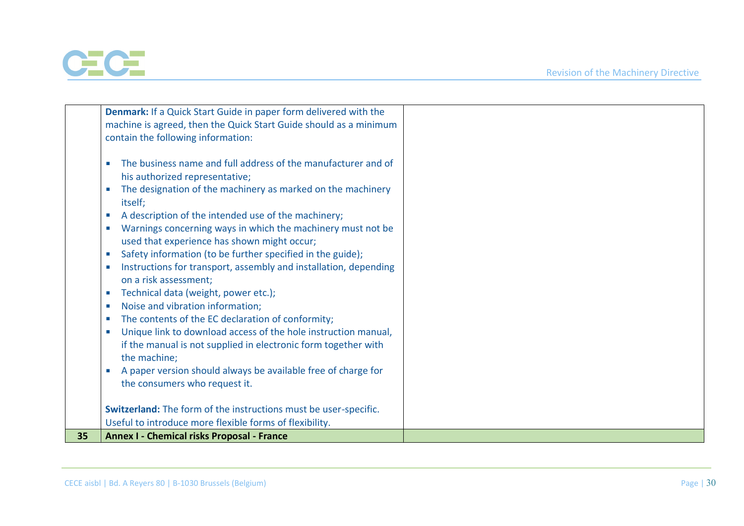

|    | Denmark: If a Quick Start Guide in paper form delivered with the                           |  |
|----|--------------------------------------------------------------------------------------------|--|
|    | machine is agreed, then the Quick Start Guide should as a minimum                          |  |
|    | contain the following information:                                                         |  |
|    |                                                                                            |  |
|    | The business name and full address of the manufacturer and of                              |  |
|    | his authorized representative;                                                             |  |
|    |                                                                                            |  |
|    | The designation of the machinery as marked on the machinery                                |  |
|    | itself;                                                                                    |  |
|    | A description of the intended use of the machinery;                                        |  |
|    | Warnings concerning ways in which the machinery must not be<br>$\mathcal{L}_{\mathcal{A}}$ |  |
|    | used that experience has shown might occur;                                                |  |
|    | Safety information (to be further specified in the guide);<br>a.                           |  |
|    | Instructions for transport, assembly and installation, depending                           |  |
|    | on a risk assessment;                                                                      |  |
|    |                                                                                            |  |
|    | Technical data (weight, power etc.);<br>u.                                                 |  |
|    | Noise and vibration information;<br><b>In</b>                                              |  |
|    | The contents of the EC declaration of conformity;<br><b>III</b>                            |  |
|    | Unique link to download access of the hole instruction manual,                             |  |
|    | if the manual is not supplied in electronic form together with                             |  |
|    | the machine;                                                                               |  |
|    | A paper version should always be available free of charge for                              |  |
|    | the consumers who request it.                                                              |  |
|    |                                                                                            |  |
|    | Switzerland: The form of the instructions must be user-specific.                           |  |
|    |                                                                                            |  |
|    | Useful to introduce more flexible forms of flexibility.                                    |  |
| 35 | <b>Annex I - Chemical risks Proposal - France</b>                                          |  |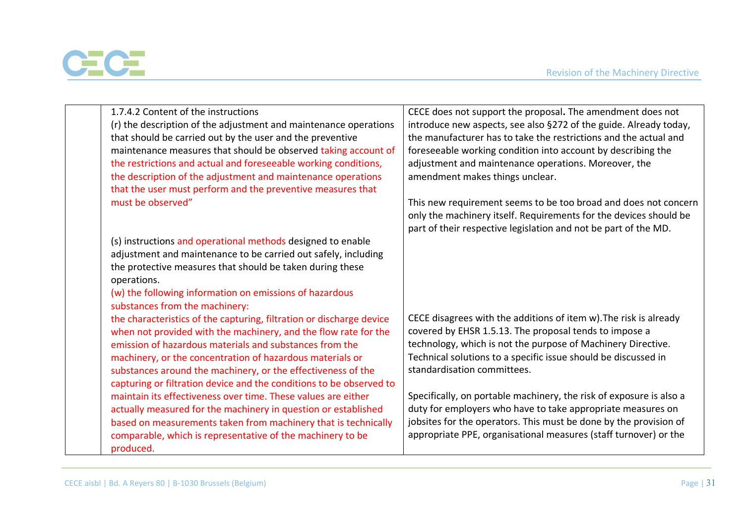

| 1.7.4.2 Content of the instructions<br>(r) the description of the adjustment and maintenance operations<br>that should be carried out by the user and the preventive<br>maintenance measures that should be observed taking account of<br>the restrictions and actual and foreseeable working conditions,<br>the description of the adjustment and maintenance operations<br>that the user must perform and the preventive measures that | CECE does not support the proposal. The amendment does not<br>introduce new aspects, see also §272 of the guide. Already today,<br>the manufacturer has to take the restrictions and the actual and<br>foreseeable working condition into account by describing the<br>adjustment and maintenance operations. Moreover, the<br>amendment makes things unclear. |
|------------------------------------------------------------------------------------------------------------------------------------------------------------------------------------------------------------------------------------------------------------------------------------------------------------------------------------------------------------------------------------------------------------------------------------------|----------------------------------------------------------------------------------------------------------------------------------------------------------------------------------------------------------------------------------------------------------------------------------------------------------------------------------------------------------------|
| must be observed"                                                                                                                                                                                                                                                                                                                                                                                                                        | This new requirement seems to be too broad and does not concern<br>only the machinery itself. Requirements for the devices should be<br>part of their respective legislation and not be part of the MD.                                                                                                                                                        |
| (s) instructions and operational methods designed to enable                                                                                                                                                                                                                                                                                                                                                                              |                                                                                                                                                                                                                                                                                                                                                                |
| adjustment and maintenance to be carried out safely, including                                                                                                                                                                                                                                                                                                                                                                           |                                                                                                                                                                                                                                                                                                                                                                |
| the protective measures that should be taken during these                                                                                                                                                                                                                                                                                                                                                                                |                                                                                                                                                                                                                                                                                                                                                                |
| operations.                                                                                                                                                                                                                                                                                                                                                                                                                              |                                                                                                                                                                                                                                                                                                                                                                |
| (w) the following information on emissions of hazardous                                                                                                                                                                                                                                                                                                                                                                                  |                                                                                                                                                                                                                                                                                                                                                                |
| substances from the machinery:                                                                                                                                                                                                                                                                                                                                                                                                           |                                                                                                                                                                                                                                                                                                                                                                |
| the characteristics of the capturing, filtration or discharge device                                                                                                                                                                                                                                                                                                                                                                     | CECE disagrees with the additions of item w). The risk is already                                                                                                                                                                                                                                                                                              |
| when not provided with the machinery, and the flow rate for the<br>emission of hazardous materials and substances from the                                                                                                                                                                                                                                                                                                               | covered by EHSR 1.5.13. The proposal tends to impose a<br>technology, which is not the purpose of Machinery Directive.                                                                                                                                                                                                                                         |
| machinery, or the concentration of hazardous materials or                                                                                                                                                                                                                                                                                                                                                                                | Technical solutions to a specific issue should be discussed in                                                                                                                                                                                                                                                                                                 |
| substances around the machinery, or the effectiveness of the                                                                                                                                                                                                                                                                                                                                                                             | standardisation committees.                                                                                                                                                                                                                                                                                                                                    |
| capturing or filtration device and the conditions to be observed to                                                                                                                                                                                                                                                                                                                                                                      |                                                                                                                                                                                                                                                                                                                                                                |
| maintain its effectiveness over time. These values are either                                                                                                                                                                                                                                                                                                                                                                            | Specifically, on portable machinery, the risk of exposure is also a                                                                                                                                                                                                                                                                                            |
| actually measured for the machinery in question or established                                                                                                                                                                                                                                                                                                                                                                           | duty for employers who have to take appropriate measures on                                                                                                                                                                                                                                                                                                    |
| based on measurements taken from machinery that is technically                                                                                                                                                                                                                                                                                                                                                                           | jobsites for the operators. This must be done by the provision of                                                                                                                                                                                                                                                                                              |
| comparable, which is representative of the machinery to be<br>produced.                                                                                                                                                                                                                                                                                                                                                                  | appropriate PPE, organisational measures (staff turnover) or the                                                                                                                                                                                                                                                                                               |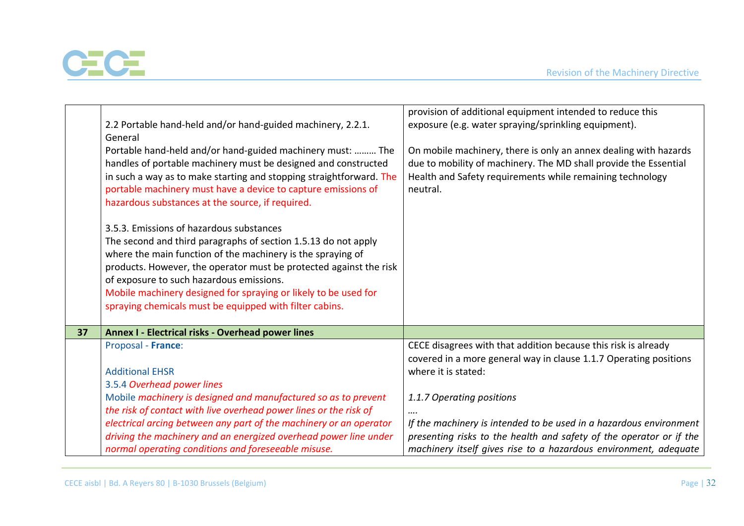

|    | 2.2 Portable hand-held and/or hand-guided machinery, 2.2.1.<br>General<br>Portable hand-held and/or hand-guided machinery must:  The<br>handles of portable machinery must be designed and constructed<br>in such a way as to make starting and stopping straightforward. The<br>portable machinery must have a device to capture emissions of<br>hazardous substances at the source, if required.<br>3.5.3. Emissions of hazardous substances<br>The second and third paragraphs of section 1.5.13 do not apply<br>where the main function of the machinery is the spraying of<br>products. However, the operator must be protected against the risk<br>of exposure to such hazardous emissions.<br>Mobile machinery designed for spraying or likely to be used for<br>spraying chemicals must be equipped with filter cabins. | provision of additional equipment intended to reduce this<br>exposure (e.g. water spraying/sprinkling equipment).<br>On mobile machinery, there is only an annex dealing with hazards<br>due to mobility of machinery. The MD shall provide the Essential<br>Health and Safety requirements while remaining technology<br>neutral. |
|----|---------------------------------------------------------------------------------------------------------------------------------------------------------------------------------------------------------------------------------------------------------------------------------------------------------------------------------------------------------------------------------------------------------------------------------------------------------------------------------------------------------------------------------------------------------------------------------------------------------------------------------------------------------------------------------------------------------------------------------------------------------------------------------------------------------------------------------|------------------------------------------------------------------------------------------------------------------------------------------------------------------------------------------------------------------------------------------------------------------------------------------------------------------------------------|
| 37 | <b>Annex I - Electrical risks - Overhead power lines</b>                                                                                                                                                                                                                                                                                                                                                                                                                                                                                                                                                                                                                                                                                                                                                                        |                                                                                                                                                                                                                                                                                                                                    |
|    | Proposal - France:<br><b>Additional EHSR</b><br>3.5.4 Overhead power lines                                                                                                                                                                                                                                                                                                                                                                                                                                                                                                                                                                                                                                                                                                                                                      | CECE disagrees with that addition because this risk is already<br>covered in a more general way in clause 1.1.7 Operating positions<br>where it is stated:                                                                                                                                                                         |
|    | Mobile machinery is designed and manufactured so as to prevent<br>the risk of contact with live overhead power lines or the risk of<br>electrical arcing between any part of the machinery or an operator<br>driving the machinery and an energized overhead power line under<br>normal operating conditions and foreseeable misuse.                                                                                                                                                                                                                                                                                                                                                                                                                                                                                            | 1.1.7 Operating positions<br>If the machinery is intended to be used in a hazardous environment<br>presenting risks to the health and safety of the operator or if the<br>machinery itself gives rise to a hazardous environment, adequate                                                                                         |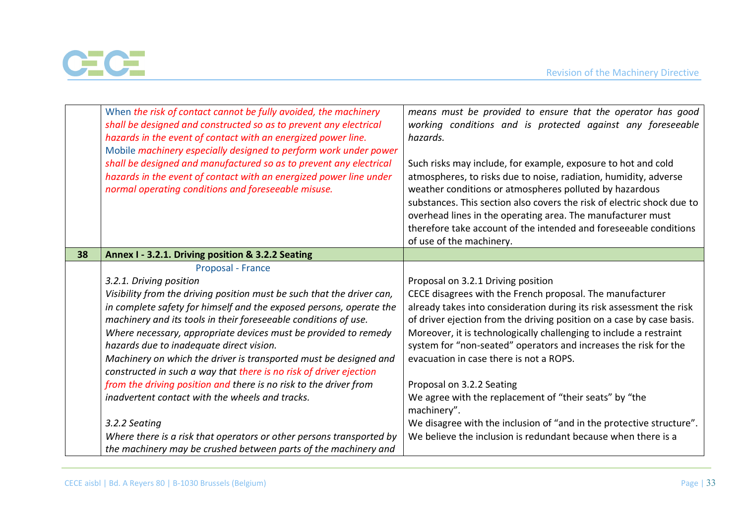



|    | When the risk of contact cannot be fully avoided, the machinery<br>shall be designed and constructed so as to prevent any electrical<br>hazards in the event of contact with an energized power line.<br>Mobile machinery especially designed to perform work under power | means must be provided to ensure that the operator has good<br>working conditions and is protected against any foreseeable<br>hazards.                                                                                                                                                                                                                                                                                                 |
|----|---------------------------------------------------------------------------------------------------------------------------------------------------------------------------------------------------------------------------------------------------------------------------|----------------------------------------------------------------------------------------------------------------------------------------------------------------------------------------------------------------------------------------------------------------------------------------------------------------------------------------------------------------------------------------------------------------------------------------|
|    | shall be designed and manufactured so as to prevent any electrical<br>hazards in the event of contact with an energized power line under<br>normal operating conditions and foreseeable misuse.                                                                           | Such risks may include, for example, exposure to hot and cold<br>atmospheres, to risks due to noise, radiation, humidity, adverse<br>weather conditions or atmospheres polluted by hazardous<br>substances. This section also covers the risk of electric shock due to<br>overhead lines in the operating area. The manufacturer must<br>therefore take account of the intended and foreseeable conditions<br>of use of the machinery. |
| 38 | Annex I - 3.2.1. Driving position & 3.2.2 Seating                                                                                                                                                                                                                         |                                                                                                                                                                                                                                                                                                                                                                                                                                        |
|    | Proposal - France                                                                                                                                                                                                                                                         |                                                                                                                                                                                                                                                                                                                                                                                                                                        |
|    | 3.2.1. Driving position                                                                                                                                                                                                                                                   | Proposal on 3.2.1 Driving position                                                                                                                                                                                                                                                                                                                                                                                                     |
|    | Visibility from the driving position must be such that the driver can,                                                                                                                                                                                                    | CECE disagrees with the French proposal. The manufacturer                                                                                                                                                                                                                                                                                                                                                                              |
|    | in complete safety for himself and the exposed persons, operate the                                                                                                                                                                                                       | already takes into consideration during its risk assessment the risk                                                                                                                                                                                                                                                                                                                                                                   |
|    | machinery and its tools in their foreseeable conditions of use.<br>Where necessary, appropriate devices must be provided to remedy<br>hazards due to inadequate direct vision.<br>Machinery on which the driver is transported must be designed and                       | of driver ejection from the driving position on a case by case basis.<br>Moreover, it is technologically challenging to include a restraint<br>system for "non-seated" operators and increases the risk for the<br>evacuation in case there is not a ROPS.                                                                                                                                                                             |
|    | constructed in such a way that there is no risk of driver ejection                                                                                                                                                                                                        |                                                                                                                                                                                                                                                                                                                                                                                                                                        |
|    | from the driving position and there is no risk to the driver from<br>inadvertent contact with the wheels and tracks.                                                                                                                                                      | Proposal on 3.2.2 Seating<br>We agree with the replacement of "their seats" by "the<br>machinery".                                                                                                                                                                                                                                                                                                                                     |
|    | 3.2.2 Seating                                                                                                                                                                                                                                                             | We disagree with the inclusion of "and in the protective structure".                                                                                                                                                                                                                                                                                                                                                                   |
|    | Where there is a risk that operators or other persons transported by<br>the machinery may be crushed between parts of the machinery and                                                                                                                                   | We believe the inclusion is redundant because when there is a                                                                                                                                                                                                                                                                                                                                                                          |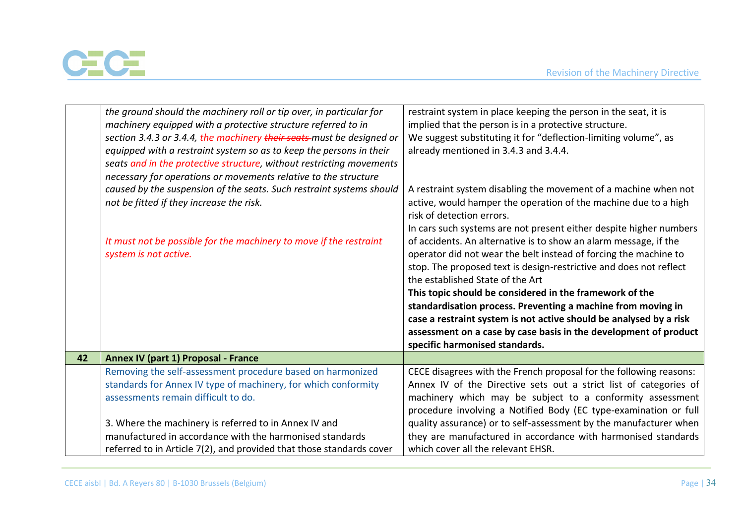

|    | the ground should the machinery roll or tip over, in particular for   | restraint system in place keeping the person in the seat, it is    |
|----|-----------------------------------------------------------------------|--------------------------------------------------------------------|
|    | machinery equipped with a protective structure referred to in         | implied that the person is in a protective structure.              |
|    | section 3.4.3 or 3.4.4, the machinery their seats-must be designed or | We suggest substituting it for "deflection-limiting volume", as    |
|    | equipped with a restraint system so as to keep the persons in their   | already mentioned in 3.4.3 and 3.4.4.                              |
|    | seats and in the protective structure, without restricting movements  |                                                                    |
|    | necessary for operations or movements relative to the structure       |                                                                    |
|    | caused by the suspension of the seats. Such restraint systems should  | A restraint system disabling the movement of a machine when not    |
|    | not be fitted if they increase the risk.                              | active, would hamper the operation of the machine due to a high    |
|    |                                                                       | risk of detection errors.                                          |
|    |                                                                       | In cars such systems are not present either despite higher numbers |
|    | It must not be possible for the machinery to move if the restraint    | of accidents. An alternative is to show an alarm message, if the   |
|    | system is not active.                                                 | operator did not wear the belt instead of forcing the machine to   |
|    |                                                                       | stop. The proposed text is design-restrictive and does not reflect |
|    |                                                                       | the established State of the Art                                   |
|    |                                                                       | This topic should be considered in the framework of the            |
|    |                                                                       | standardisation process. Preventing a machine from moving in       |
|    |                                                                       | case a restraint system is not active should be analysed by a risk |
|    |                                                                       | assessment on a case by case basis in the development of product   |
|    |                                                                       | specific harmonised standards.                                     |
| 42 | Annex IV (part 1) Proposal - France                                   |                                                                    |
|    | Removing the self-assessment procedure based on harmonized            | CECE disagrees with the French proposal for the following reasons: |
|    | standards for Annex IV type of machinery, for which conformity        | Annex IV of the Directive sets out a strict list of categories of  |
|    | assessments remain difficult to do.                                   | machinery which may be subject to a conformity assessment          |
|    |                                                                       | procedure involving a Notified Body (EC type-examination or full   |
|    | 3. Where the machinery is referred to in Annex IV and                 | quality assurance) or to self-assessment by the manufacturer when  |
|    | manufactured in accordance with the harmonised standards              | they are manufactured in accordance with harmonised standards      |
|    | referred to in Article 7(2), and provided that those standards cover  | which cover all the relevant EHSR.                                 |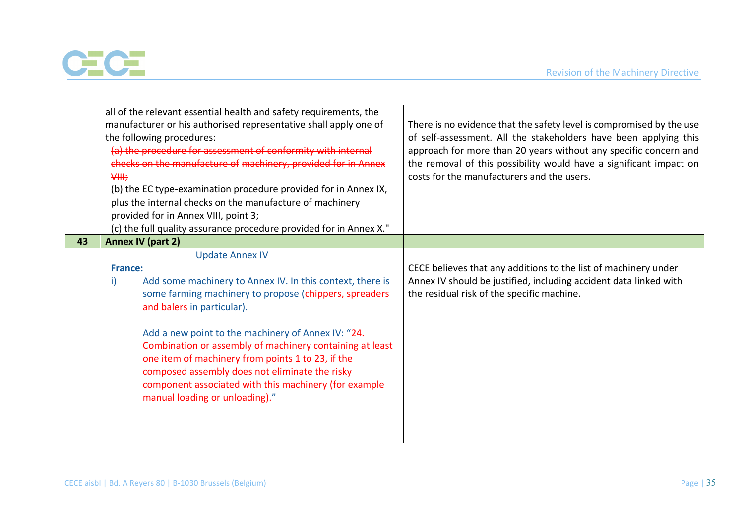

|    | all of the relevant essential health and safety requirements, the<br>manufacturer or his authorised representative shall apply one of<br>the following procedures:<br>(a) the procedure for assessment of conformity with internal<br>checks on the manufacture of machinery, provided for in Annex<br>₩ <sup>+</sup><br>(b) the EC type-examination procedure provided for in Annex IX,<br>plus the internal checks on the manufacture of machinery<br>provided for in Annex VIII, point 3;<br>(c) the full quality assurance procedure provided for in Annex X." | There is no evidence that the safety level is compromised by the use<br>of self-assessment. All the stakeholders have been applying this<br>approach for more than 20 years without any specific concern and<br>the removal of this possibility would have a significant impact on<br>costs for the manufacturers and the users. |
|----|--------------------------------------------------------------------------------------------------------------------------------------------------------------------------------------------------------------------------------------------------------------------------------------------------------------------------------------------------------------------------------------------------------------------------------------------------------------------------------------------------------------------------------------------------------------------|----------------------------------------------------------------------------------------------------------------------------------------------------------------------------------------------------------------------------------------------------------------------------------------------------------------------------------|
| 43 | <b>Annex IV (part 2)</b>                                                                                                                                                                                                                                                                                                                                                                                                                                                                                                                                           |                                                                                                                                                                                                                                                                                                                                  |
|    | <b>Update Annex IV</b><br><b>France:</b><br>Add some machinery to Annex IV. In this context, there is<br>i)<br>some farming machinery to propose (chippers, spreaders<br>and balers in particular).<br>Add a new point to the machinery of Annex IV: "24.<br>Combination or assembly of machinery containing at least<br>one item of machinery from points 1 to 23, if the<br>composed assembly does not eliminate the risky<br>component associated with this machinery (for example<br>manual loading or unloading)."                                            | CECE believes that any additions to the list of machinery under<br>Annex IV should be justified, including accident data linked with<br>the residual risk of the specific machine.                                                                                                                                               |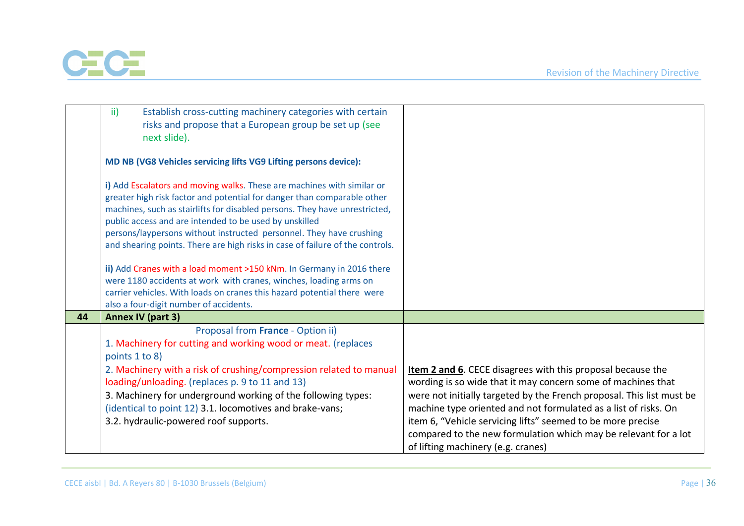

|    | Establish cross-cutting machinery categories with certain<br>$\mathsf{ii}$<br>risks and propose that a European group be set up (see                                                                                            |                                                                                                                                                                                                                                                                                                                                                                                  |
|----|---------------------------------------------------------------------------------------------------------------------------------------------------------------------------------------------------------------------------------|----------------------------------------------------------------------------------------------------------------------------------------------------------------------------------------------------------------------------------------------------------------------------------------------------------------------------------------------------------------------------------|
|    | next slide).                                                                                                                                                                                                                    |                                                                                                                                                                                                                                                                                                                                                                                  |
|    | MD NB (VG8 Vehicles servicing lifts VG9 Lifting persons device):                                                                                                                                                                |                                                                                                                                                                                                                                                                                                                                                                                  |
|    | i) Add Escalators and moving walks. These are machines with similar or<br>greater high risk factor and potential for danger than comparable other<br>machines, such as stairlifts for disabled persons. They have unrestricted, |                                                                                                                                                                                                                                                                                                                                                                                  |
|    | public access and are intended to be used by unskilled                                                                                                                                                                          |                                                                                                                                                                                                                                                                                                                                                                                  |
|    | persons/laypersons without instructed personnel. They have crushing                                                                                                                                                             |                                                                                                                                                                                                                                                                                                                                                                                  |
|    | and shearing points. There are high risks in case of failure of the controls.                                                                                                                                                   |                                                                                                                                                                                                                                                                                                                                                                                  |
|    |                                                                                                                                                                                                                                 |                                                                                                                                                                                                                                                                                                                                                                                  |
|    | ii) Add Cranes with a load moment >150 kNm. In Germany in 2016 there                                                                                                                                                            |                                                                                                                                                                                                                                                                                                                                                                                  |
|    | were 1180 accidents at work with cranes, winches, loading arms on                                                                                                                                                               |                                                                                                                                                                                                                                                                                                                                                                                  |
|    | carrier vehicles. With loads on cranes this hazard potential there were                                                                                                                                                         |                                                                                                                                                                                                                                                                                                                                                                                  |
|    | also a four-digit number of accidents.                                                                                                                                                                                          |                                                                                                                                                                                                                                                                                                                                                                                  |
| 44 | Annex IV (part 3)                                                                                                                                                                                                               |                                                                                                                                                                                                                                                                                                                                                                                  |
|    | Proposal from France - Option ii)                                                                                                                                                                                               |                                                                                                                                                                                                                                                                                                                                                                                  |
|    | 1. Machinery for cutting and working wood or meat. (replaces                                                                                                                                                                    |                                                                                                                                                                                                                                                                                                                                                                                  |
|    | points 1 to 8)                                                                                                                                                                                                                  |                                                                                                                                                                                                                                                                                                                                                                                  |
|    | 2. Machinery with a risk of crushing/compression related to manual                                                                                                                                                              | <b>Item 2 and 6.</b> CECE disagrees with this proposal because the                                                                                                                                                                                                                                                                                                               |
|    |                                                                                                                                                                                                                                 |                                                                                                                                                                                                                                                                                                                                                                                  |
|    |                                                                                                                                                                                                                                 |                                                                                                                                                                                                                                                                                                                                                                                  |
|    |                                                                                                                                                                                                                                 |                                                                                                                                                                                                                                                                                                                                                                                  |
|    |                                                                                                                                                                                                                                 |                                                                                                                                                                                                                                                                                                                                                                                  |
|    |                                                                                                                                                                                                                                 |                                                                                                                                                                                                                                                                                                                                                                                  |
|    |                                                                                                                                                                                                                                 |                                                                                                                                                                                                                                                                                                                                                                                  |
|    | loading/unloading. (replaces p. 9 to 11 and 13)<br>3. Machinery for underground working of the following types:<br>(identical to point 12) 3.1. locomotives and brake-vans;<br>3.2. hydraulic-powered roof supports.            | wording is so wide that it may concern some of machines that<br>were not initially targeted by the French proposal. This list must be<br>machine type oriented and not formulated as a list of risks. On<br>item 6, "Vehicle servicing lifts" seemed to be more precise<br>compared to the new formulation which may be relevant for a lot<br>of lifting machinery (e.g. cranes) |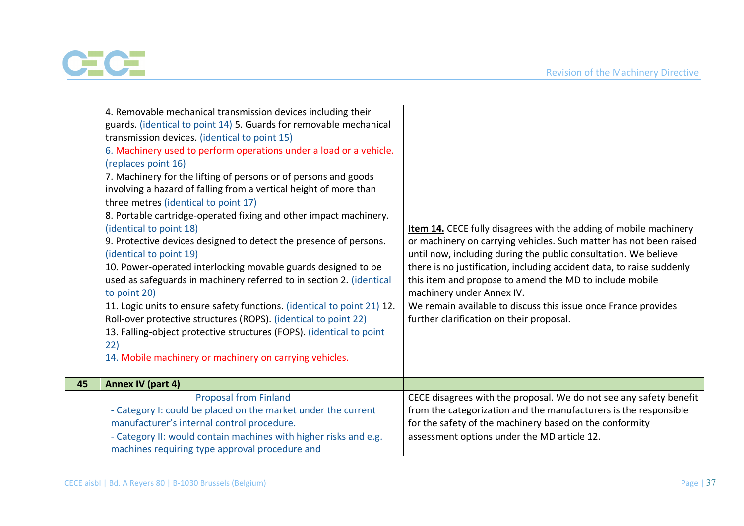

|    | 4. Removable mechanical transmission devices including their<br>guards. (identical to point 14) 5. Guards for removable mechanical<br>transmission devices. (identical to point 15)<br>6. Machinery used to perform operations under a load or a vehicle.<br>(replaces point 16)<br>7. Machinery for the lifting of persons or of persons and goods<br>involving a hazard of falling from a vertical height of more than<br>three metres (identical to point 17)<br>8. Portable cartridge-operated fixing and other impact machinery.<br>(identical to point 18)<br>9. Protective devices designed to detect the presence of persons.<br>(identical to point 19)<br>10. Power-operated interlocking movable guards designed to be<br>used as safeguards in machinery referred to in section 2. (identical<br>to point 20)<br>11. Logic units to ensure safety functions. (identical to point 21) 12.<br>Roll-over protective structures (ROPS). (identical to point 22)<br>13. Falling-object protective structures (FOPS). (identical to point<br>22)<br>14. Mobile machinery or machinery on carrying vehicles. | <b>Item 14.</b> CECE fully disagrees with the adding of mobile machinery<br>or machinery on carrying vehicles. Such matter has not been raised<br>until now, including during the public consultation. We believe<br>there is no justification, including accident data, to raise suddenly<br>this item and propose to amend the MD to include mobile<br>machinery under Annex IV.<br>We remain available to discuss this issue once France provides<br>further clarification on their proposal. |
|----|-------------------------------------------------------------------------------------------------------------------------------------------------------------------------------------------------------------------------------------------------------------------------------------------------------------------------------------------------------------------------------------------------------------------------------------------------------------------------------------------------------------------------------------------------------------------------------------------------------------------------------------------------------------------------------------------------------------------------------------------------------------------------------------------------------------------------------------------------------------------------------------------------------------------------------------------------------------------------------------------------------------------------------------------------------------------------------------------------------------------|--------------------------------------------------------------------------------------------------------------------------------------------------------------------------------------------------------------------------------------------------------------------------------------------------------------------------------------------------------------------------------------------------------------------------------------------------------------------------------------------------|
| 45 | <b>Annex IV (part 4)</b>                                                                                                                                                                                                                                                                                                                                                                                                                                                                                                                                                                                                                                                                                                                                                                                                                                                                                                                                                                                                                                                                                          |                                                                                                                                                                                                                                                                                                                                                                                                                                                                                                  |
|    | <b>Proposal from Finland</b><br>- Category I: could be placed on the market under the current<br>manufacturer's internal control procedure.<br>- Category II: would contain machines with higher risks and e.g.<br>machines requiring type approval procedure and                                                                                                                                                                                                                                                                                                                                                                                                                                                                                                                                                                                                                                                                                                                                                                                                                                                 | CECE disagrees with the proposal. We do not see any safety benefit<br>from the categorization and the manufacturers is the responsible<br>for the safety of the machinery based on the conformity<br>assessment options under the MD article 12.                                                                                                                                                                                                                                                 |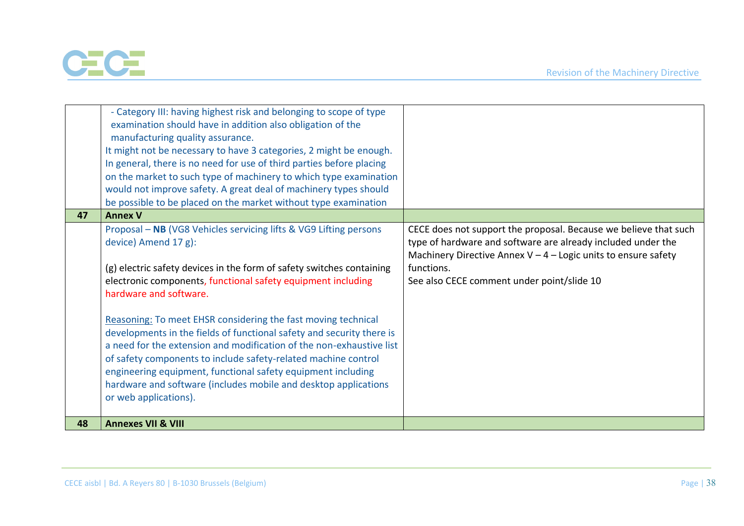

|    | - Category III: having highest risk and belonging to scope of type<br>examination should have in addition also obligation of the<br>manufacturing quality assurance.<br>It might not be necessary to have 3 categories, 2 might be enough.<br>In general, there is no need for use of third parties before placing<br>on the market to such type of machinery to which type examination<br>would not improve safety. A great deal of machinery types should<br>be possible to be placed on the market without type examination                                          |                                                                                                                                                                                                                    |
|----|-------------------------------------------------------------------------------------------------------------------------------------------------------------------------------------------------------------------------------------------------------------------------------------------------------------------------------------------------------------------------------------------------------------------------------------------------------------------------------------------------------------------------------------------------------------------------|--------------------------------------------------------------------------------------------------------------------------------------------------------------------------------------------------------------------|
| 47 | <b>Annex V</b>                                                                                                                                                                                                                                                                                                                                                                                                                                                                                                                                                          |                                                                                                                                                                                                                    |
|    | Proposal - NB (VG8 Vehicles servicing lifts & VG9 Lifting persons<br>device) Amend 17 g):<br>(g) electric safety devices in the form of safety switches containing                                                                                                                                                                                                                                                                                                                                                                                                      | CECE does not support the proposal. Because we believe that such<br>type of hardware and software are already included under the<br>Machinery Directive Annex $V - 4 -$ Logic units to ensure safety<br>functions. |
| 48 | electronic components, functional safety equipment including<br>hardware and software.<br>Reasoning: To meet EHSR considering the fast moving technical<br>developments in the fields of functional safety and security there is<br>a need for the extension and modification of the non-exhaustive list<br>of safety components to include safety-related machine control<br>engineering equipment, functional safety equipment including<br>hardware and software (includes mobile and desktop applications<br>or web applications).<br><b>Annexes VII &amp; VIII</b> | See also CECE comment under point/slide 10                                                                                                                                                                         |